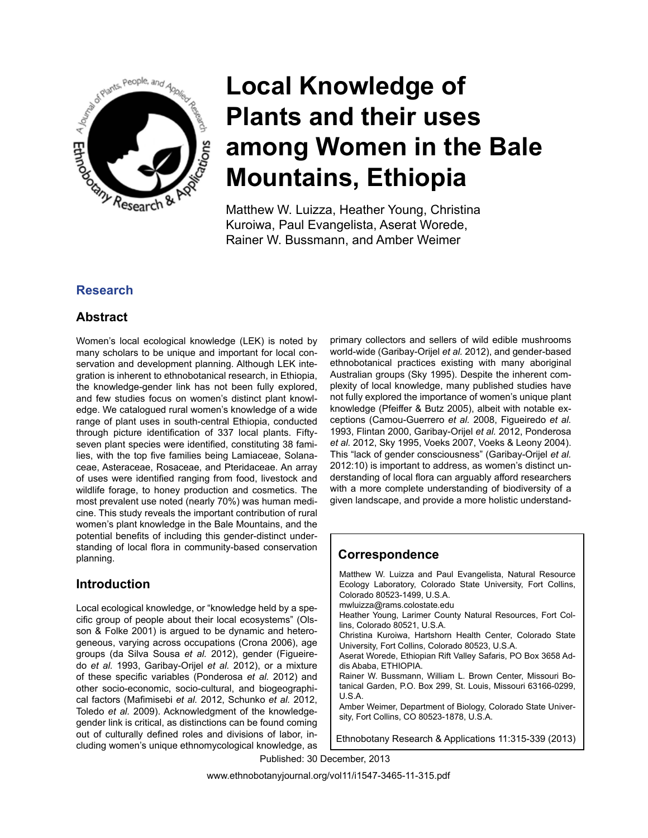

Matthew W. Luizza, Heather Young, Christina Kuroiwa, Paul Evangelista, Aserat Worede, Rainer W. Bussmann, and Amber Weimer

# **Research**

# **Abstract**

Women's local ecological knowledge (LEK) is noted by many scholars to be unique and important for local conservation and development planning. Although LEK integration is inherent to ethnobotanical research, in Ethiopia, the knowledge-gender link has not been fully explored, and few studies focus on women's distinct plant knowledge. We catalogued rural women's knowledge of a wide range of plant uses in south-central Ethiopia, conducted through picture identification of 337 local plants. Fiftyseven plant species were identified, constituting 38 families, with the top five families being Lamiaceae, Solanaceae, Asteraceae, Rosaceae, and Pteridaceae. An array of uses were identified ranging from food, livestock and wildlife forage, to honey production and cosmetics. The most prevalent use noted (nearly 70%) was human medicine. This study reveals the important contribution of rural women's plant knowledge in the Bale Mountains, and the potential benefits of including this gender-distinct understanding of local flora in community-based conservation planning.

# **Introduction**

Local ecological knowledge, or "knowledge held by a specific group of people about their local ecosystems" (Olsson & Folke 2001) is argued to be dynamic and heterogeneous, varying across occupations (Crona 2006), age groups (da Silva Sousa *et al.* 2012), gender (Figueiredo *et al.* 1993, Garibay-Orijel *et al.* 2012), or a mixture of these specific variables (Ponderosa *et al.* 2012) and other socio-economic, socio-cultural, and biogeographical factors (Mafimisebi *et al.* 2012, Schunko *et al.* 2012, Toledo *et al.* 2009). Acknowledgment of the knowledgegender link is critical, as distinctions can be found coming out of culturally defined roles and divisions of labor, including women's unique ethnomycological knowledge, as primary collectors and sellers of wild edible mushrooms world-wide (Garibay-Orijel *et al.* 2012), and gender-based ethnobotanical practices existing with many aboriginal Australian groups (Sky 1995). Despite the inherent complexity of local knowledge, many published studies have not fully explored the importance of women's unique plant knowledge (Pfeiffer & Butz 2005), albeit with notable exceptions (Camou-Guerrero *et al.* 2008, Figueiredo *et al.* 1993, Flintan 2000, Garibay-Orijel *et al.* 2012, Ponderosa *et al.* 2012, Sky 1995, Voeks 2007, Voeks & Leony 2004). This "lack of gender consciousness" (Garibay-Orijel *et al.* 2012:10) is important to address, as women's distinct understanding of local flora can arguably afford researchers with a more complete understanding of biodiversity of a given landscape, and provide a more holistic understand-

# **Correspondence**

Matthew W. Luizza and Paul Evangelista, Natural Resource Ecology Laboratory, Colorado State University, Fort Collins, Colorado 80523-1499, U.S.A. mwluizza@rams.colostate.edu Heather Young, Larimer County Natural Resources, Fort Collins, Colorado 80521, U.S.A. Christina Kuroiwa, Hartshorn Health Center, Colorado State University, Fort Collins, Colorado 80523, U.S.A. Aserat Worede, Ethiopian Rift Valley Safaris, PO Box 3658 Addis Ababa, ETHIOPIA. Rainer W. Bussmann, William L. Brown Center, Missouri Botanical Garden, P.O. Box 299, St. Louis, Missouri 63166-0299, U.S.A. Amber Weimer, Department of Biology, Colorado State University, Fort Collins, CO 80523-1878, U.S.A.

Ethnobotany Research & Applications 11:315-339 (2013)

Published: 30 December, 2013

www.ethnobotanyjournal.org/vol11/i1547-3465-11-315.pdf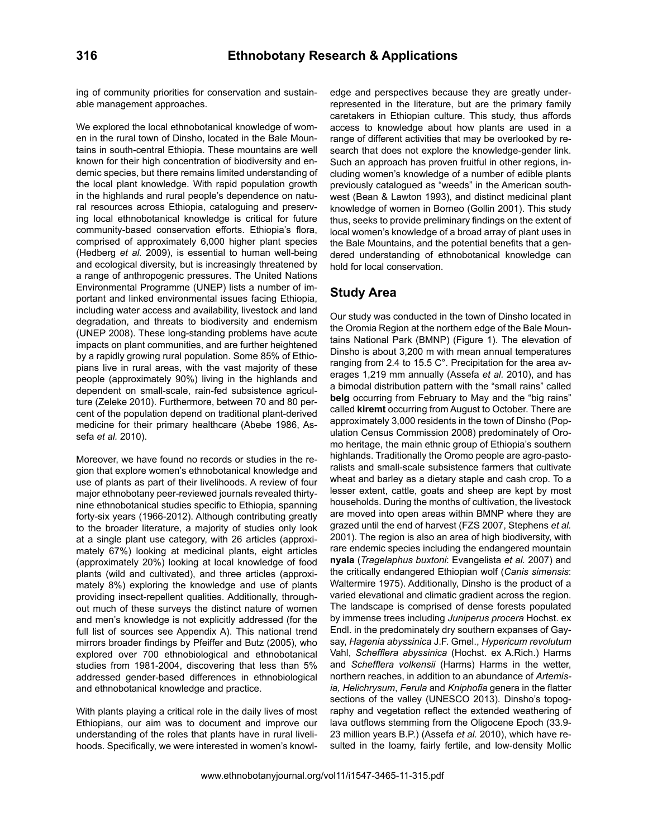ing of community priorities for conservation and sustainable management approaches.

We explored the local ethnobotanical knowledge of women in the rural town of Dinsho, located in the Bale Mountains in south-central Ethiopia. These mountains are well known for their high concentration of biodiversity and endemic species, but there remains limited understanding of the local plant knowledge. With rapid population growth in the highlands and rural people's dependence on natural resources across Ethiopia, cataloguing and preserving local ethnobotanical knowledge is critical for future community-based conservation efforts. Ethiopia's flora, comprised of approximately 6,000 higher plant species (Hedberg *et al.* 2009), is essential to human well-being and ecological diversity, but is increasingly threatened by a range of anthropogenic pressures. The United Nations Environmental Programme (UNEP) lists a number of important and linked environmental issues facing Ethiopia, including water access and availability, livestock and land degradation, and threats to biodiversity and endemism (UNEP 2008). These long-standing problems have acute impacts on plant communities, and are further heightened by a rapidly growing rural population. Some 85% of Ethiopians live in rural areas, with the vast majority of these people (approximately 90%) living in the highlands and dependent on small-scale, rain-fed subsistence agriculture (Zeleke 2010). Furthermore, between 70 and 80 percent of the population depend on traditional plant-derived medicine for their primary healthcare (Abebe 1986, Assefa *et al.* 2010).

Moreover, we have found no records or studies in the region that explore women's ethnobotanical knowledge and use of plants as part of their livelihoods. A review of four major ethnobotany peer-reviewed journals revealed thirtynine ethnobotanical studies specific to Ethiopia, spanning forty-six years (1966-2012). Although contributing greatly to the broader literature, a majority of studies only look at a single plant use category, with 26 articles (approximately 67%) looking at medicinal plants, eight articles (approximately 20%) looking at local knowledge of food plants (wild and cultivated), and three articles (approximately 8%) exploring the knowledge and use of plants providing insect-repellent qualities. Additionally, throughout much of these surveys the distinct nature of women and men's knowledge is not explicitly addressed (for the full list of sources see Appendix A). This national trend mirrors broader findings by Pfeiffer and Butz (2005), who explored over 700 ethnobiological and ethnobotanical studies from 1981-2004, discovering that less than 5% addressed gender-based differences in ethnobiological and ethnobotanical knowledge and practice.

With plants playing a critical role in the daily lives of most Ethiopians, our aim was to document and improve our understanding of the roles that plants have in rural livelihoods. Specifically, we were interested in women's knowledge and perspectives because they are greatly underrepresented in the literature, but are the primary family caretakers in Ethiopian culture. This study, thus affords access to knowledge about how plants are used in a range of different activities that may be overlooked by research that does not explore the knowledge-gender link. Such an approach has proven fruitful in other regions, including women's knowledge of a number of edible plants previously catalogued as "weeds" in the American southwest (Bean & Lawton 1993), and distinct medicinal plant knowledge of women in Borneo (Gollin 2001). This study thus, seeks to provide preliminary findings on the extent of local women's knowledge of a broad array of plant uses in the Bale Mountains, and the potential benefits that a gendered understanding of ethnobotanical knowledge can hold for local conservation.

## **Study Area**

Our study was conducted in the town of Dinsho located in the Oromia Region at the northern edge of the Bale Mountains National Park (BMNP) (Figure 1). The elevation of Dinsho is about 3,200 m with mean annual temperatures ranging from 2.4 to 15.5 C°. Precipitation for the area averages 1,219 mm annually (Assefa *et al.* 2010), and has a bimodal distribution pattern with the "small rains" called **belg** occurring from February to May and the "big rains" called **kiremt** occurring from August to October. There are approximately 3,000 residents in the town of Dinsho (Population Census Commission 2008) predominately of Oromo heritage, the main ethnic group of Ethiopia's southern highlands. Traditionally the Oromo people are agro-pastoralists and small-scale subsistence farmers that cultivate wheat and barley as a dietary staple and cash crop. To a lesser extent, cattle, goats and sheep are kept by most households. During the months of cultivation, the livestock are moved into open areas within BMNP where they are grazed until the end of harvest (FZS 2007, Stephens *et al.* 2001). The region is also an area of high biodiversity, with rare endemic species including the endangered mountain **nyala** (*Tragelaphus buxtoni*: Evangelista *et al.* 2007) and the critically endangered Ethiopian wolf (*Canis simensis*: Waltermire 1975). Additionally, Dinsho is the product of a varied elevational and climatic gradient across the region. The landscape is comprised of dense forests populated by immense trees including *Juniperus procera* Hochst. ex Endl. in the predominately dry southern expanses of Gaysay, *Hagenia abyssinica* J.F. Gmel., *Hypericum revolutum*  Vahl, *Schefflera abyssinica* (Hochst. ex A.Rich.) Harms and *Schefflera volkensii* (Harms) Harms in the wetter, northern reaches, in addition to an abundance of *Artemisia, Helichrysum*, *Ferula* and *Kniphofia* genera in the flatter sections of the valley (UNESCO 2013). Dinsho's topography and vegetation reflect the extended weathering of lava outflows stemming from the Oligocene Epoch (33.9- 23 million years B.P.) (Assefa *et al.* 2010), which have resulted in the loamy, fairly fertile, and low-density Mollic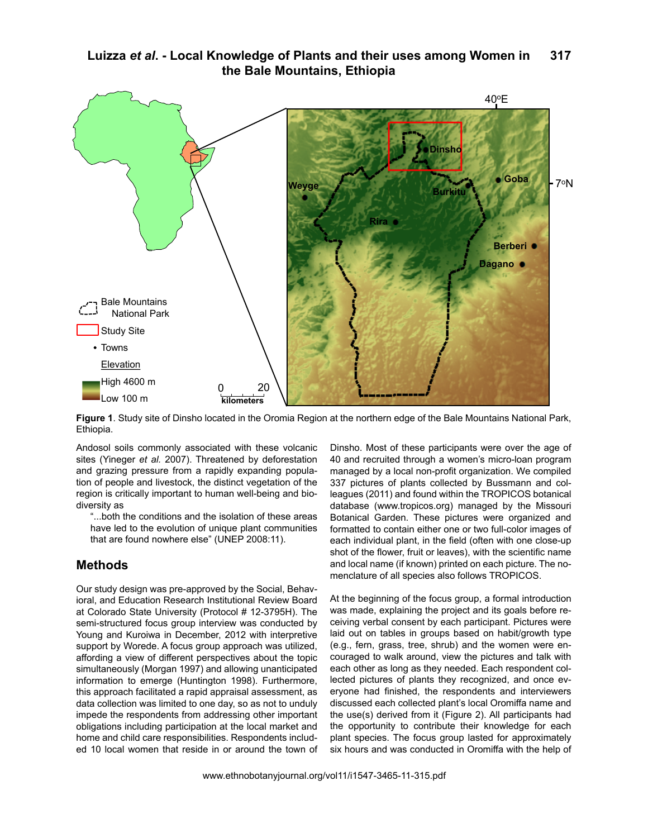

**Figure 1**. Study site of Dinsho located in the Oromia Region at the northern edge of the Bale Mountains National Park, Ethiopia.

Andosol soils commonly associated with these volcanic sites (Yineger *et al.* 2007). Threatened by deforestation and grazing pressure from a rapidly expanding population of people and livestock, the distinct vegetation of the region is critically important to human well-being and bio-<br>diversity as diversity as

"...both the conditions and the isolation of these areas have led to the evolution of unique plant communities nave led to the evolution of unique plant comm<br>that are found nowhere else" (UNEP 2008:11).

## **Methods**

Our study design was pre-approved by the Social, Behavioral, and Education Research Institutional Review Board at Colorado State University (Protocol # 12-3795H). The semi-structured focus group interview was conducted by Young and Kuroiwa in December, 2012 with interpretive support by Worede. A focus group approach was utilized, affording a view of different perspectives about the topic simultaneously (Morgan 1997) and allowing unanticipated information to emerge (Huntington 1998). Furthermore, this approach facilitated a rapid appraisal assessment, as data collection was limited to one day, so as not to unduly impede the respondents from addressing other important obligations including participation at the local market and home and child care responsibilities. Respondents included 10 local women that reside in or around the town of Dinsho. Most of these participants were over the age of 40 and recruited through a women's micro-loan program managed by a local non-profit organization. We compiled 337 pictures of plants collected by Bussmann and colleagues (2011) and found within the TROPICOS botanical database (www.tropicos.org) managed by the Missouri Botanical Garden. These pictures were organized and formatted to contain either one or two full-color images of each individual plant, in the field (often with one close-up shot of the flower, fruit or leaves), with the scientific name and local name (if known) printed on each picture. The nomenclature of all species also follows TROPICOS.

At the beginning of the focus group, a formal introduction was made, explaining the project and its goals before receiving verbal consent by each participant. Pictures were laid out on tables in groups based on habit/growth type (e.g., fern, grass, tree, shrub) and the women were encouraged to walk around, view the pictures and talk with each other as long as they needed. Each respondent collected pictures of plants they recognized, and once everyone had finished, the respondents and interviewers discussed each collected plant's local Oromiffa name and the use(s) derived from it (Figure 2). All participants had the opportunity to contribute their knowledge for each plant species. The focus group lasted for approximately six hours and was conducted in Oromiffa with the help of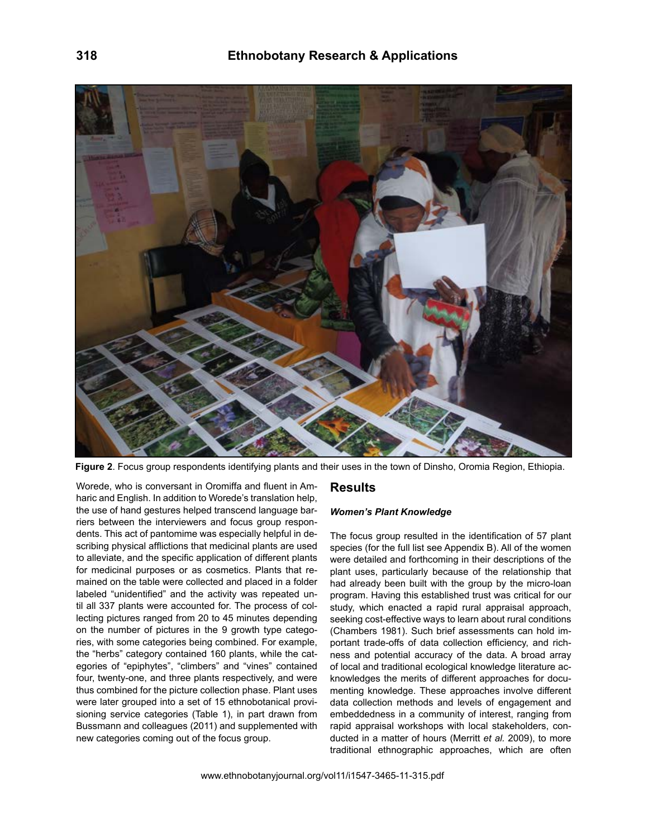

**Figure 2**. Focus group respondents identifying plants and their uses in the town of Dinsho, Oromia Region, Ethiopia.

Worede, who is conversant in Oromiffa and fluent in Amharic and English. In addition to Worede's translation help, the use of hand gestures helped transcend language barriers between the interviewers and focus group respondents. This act of pantomime was especially helpful in describing physical afflictions that medicinal plants are used to alleviate, and the specific application of different plants for medicinal purposes or as cosmetics. Plants that remained on the table were collected and placed in a folder labeled "unidentified" and the activity was repeated until all 337 plants were accounted for. The process of collecting pictures ranged from 20 to 45 minutes depending on the number of pictures in the 9 growth type categories, with some categories being combined. For example, the "herbs" category contained 160 plants, while the categories of "epiphytes", "climbers" and "vines" contained four, twenty-one, and three plants respectively, and were thus combined for the picture collection phase. Plant uses were later grouped into a set of 15 ethnobotanical provisioning service categories (Table 1), in part drawn from Bussmann and colleagues (2011) and supplemented with new categories coming out of the focus group.

## **Results**

#### *Women's Plant Knowledge*

The focus group resulted in the identification of 57 plant species (for the full list see Appendix B). All of the women were detailed and forthcoming in their descriptions of the plant uses, particularly because of the relationship that had already been built with the group by the micro-loan program. Having this established trust was critical for our study, which enacted a rapid rural appraisal approach, seeking cost-effective ways to learn about rural conditions (Chambers 1981). Such brief assessments can hold important trade-offs of data collection efficiency, and richness and potential accuracy of the data. A broad array of local and traditional ecological knowledge literature acknowledges the merits of different approaches for documenting knowledge. These approaches involve different data collection methods and levels of engagement and embeddedness in a community of interest, ranging from rapid appraisal workshops with local stakeholders, conducted in a matter of hours (Merritt *et al.* 2009), to more traditional ethnographic approaches, which are often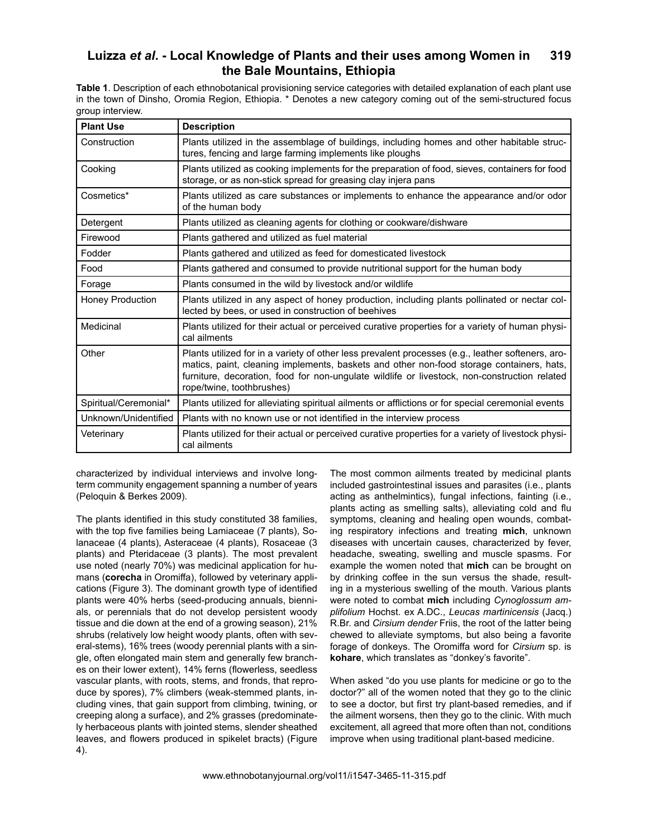**Table 1**. Description of each ethnobotanical provisioning service categories with detailed explanation of each plant use in the town of Dinsho, Oromia Region, Ethiopia. \* Denotes a new category coming out of the semi-structured focus group interview.

| <b>Plant Use</b>      | <b>Description</b>                                                                                                                                                                                                                                                                                                         |
|-----------------------|----------------------------------------------------------------------------------------------------------------------------------------------------------------------------------------------------------------------------------------------------------------------------------------------------------------------------|
| Construction          | Plants utilized in the assemblage of buildings, including homes and other habitable struc-<br>tures, fencing and large farming implements like ploughs                                                                                                                                                                     |
| Cooking               | Plants utilized as cooking implements for the preparation of food, sieves, containers for food<br>storage, or as non-stick spread for greasing clay injera pans                                                                                                                                                            |
| Cosmetics*            | Plants utilized as care substances or implements to enhance the appearance and/or odor<br>of the human body                                                                                                                                                                                                                |
| Detergent             | Plants utilized as cleaning agents for clothing or cookware/dishware                                                                                                                                                                                                                                                       |
| Firewood              | Plants gathered and utilized as fuel material                                                                                                                                                                                                                                                                              |
| Fodder                | Plants gathered and utilized as feed for domesticated livestock                                                                                                                                                                                                                                                            |
| Food                  | Plants gathered and consumed to provide nutritional support for the human body                                                                                                                                                                                                                                             |
| Forage                | Plants consumed in the wild by livestock and/or wildlife                                                                                                                                                                                                                                                                   |
| Honey Production      | Plants utilized in any aspect of honey production, including plants pollinated or nectar col-<br>lected by bees, or used in construction of beehives                                                                                                                                                                       |
| Medicinal             | Plants utilized for their actual or perceived curative properties for a variety of human physi-<br>cal ailments                                                                                                                                                                                                            |
| Other                 | Plants utilized for in a variety of other less prevalent processes (e.g., leather softeners, aro-<br>matics, paint, cleaning implements, baskets and other non-food storage containers, hats,<br>furniture, decoration, food for non-ungulate wildlife or livestock, non-construction related<br>rope/twine, toothbrushes) |
| Spiritual/Ceremonial* | Plants utilized for alleviating spiritual ailments or afflictions or for special ceremonial events                                                                                                                                                                                                                         |
| Unknown/Unidentified  | Plants with no known use or not identified in the interview process                                                                                                                                                                                                                                                        |
| Veterinary            | Plants utilized for their actual or perceived curative properties for a variety of livestock physi-<br>cal ailments                                                                                                                                                                                                        |

characterized by individual interviews and involve longterm community engagement spanning a number of years (Peloquin & Berkes 2009).

The plants identified in this study constituted 38 families, with the top five families being Lamiaceae (7 plants), Solanaceae (4 plants), Asteraceae (4 plants), Rosaceae (3 plants) and Pteridaceae (3 plants). The most prevalent use noted (nearly 70%) was medicinal application for humans (**corecha** in Oromiffa), followed by veterinary applications (Figure 3). The dominant growth type of identified plants were 40% herbs (seed-producing annuals, biennials, or perennials that do not develop persistent woody tissue and die down at the end of a growing season), 21% shrubs (relatively low height woody plants, often with several-stems), 16% trees (woody perennial plants with a single, often elongated main stem and generally few branches on their lower extent), 14% ferns (flowerless, seedless vascular plants, with roots, stems, and fronds, that reproduce by spores), 7% climbers (weak-stemmed plants, including vines, that gain support from climbing, twining, or creeping along a surface), and 2% grasses (predominately herbaceous plants with jointed stems, slender sheathed leaves, and flowers produced in spikelet bracts) (Figure 4).

The most common ailments treated by medicinal plants included gastrointestinal issues and parasites (i.e., plants acting as anthelmintics), fungal infections, fainting (i.e., plants acting as smelling salts), alleviating cold and flu symptoms, cleaning and healing open wounds, combating respiratory infections and treating **mich**, unknown diseases with uncertain causes, characterized by fever, headache, sweating, swelling and muscle spasms. For example the women noted that **mich** can be brought on by drinking coffee in the sun versus the shade, resulting in a mysterious swelling of the mouth. Various plants were noted to combat **mich** including *Cynoglossum amplifolium* Hochst. ex A.DC., *Leucas martinicensis* (Jacq.) R.Br. and *Cirsium dender* Friis, the root of the latter being chewed to alleviate symptoms, but also being a favorite forage of donkeys. The Oromiffa word for *Cirsium* sp. is **kohare**, which translates as "donkey's favorite".

When asked "do you use plants for medicine or go to the doctor?" all of the women noted that they go to the clinic to see a doctor, but first try plant-based remedies, and if the ailment worsens, then they go to the clinic. With much excitement, all agreed that more often than not, conditions improve when using traditional plant-based medicine.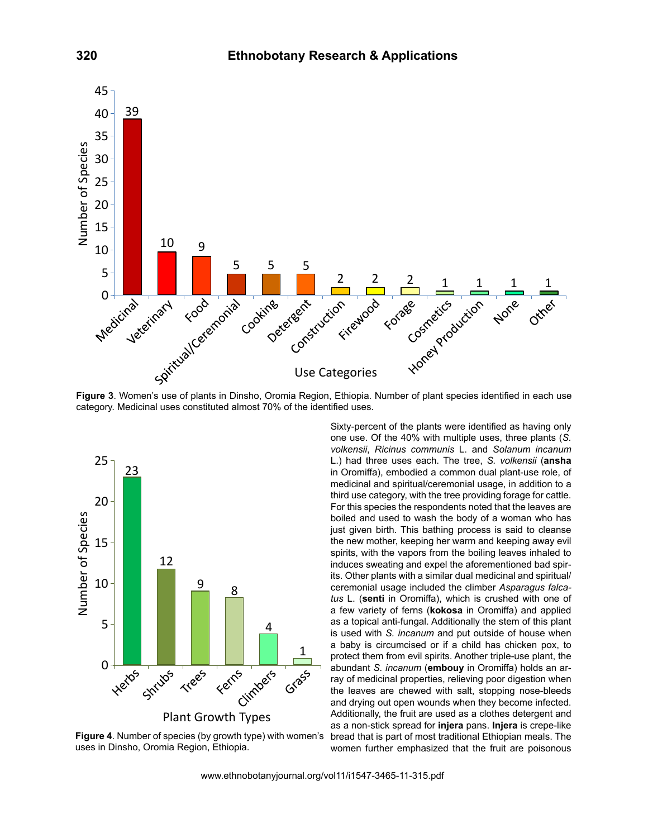

Fig 3 category. Medicinal uses constituted almost 70% of the identified uses. **Figure 3**. Women's use of plants in Dinsho, Oromia Region, Ethiopia. Number of plant species identified in each use



**Figure 4**. Number of species (by growth type) with women's uses in Dinsho, Oromia Region, Ethiopia.

Sixty-percent of the plants were identified as having only one use. Of the 40% with multiple uses, three plants (*S. volkensii*, *Ricinus communis* L. and *Solanum incanum* L.) had three uses each. The tree, *S. volkensii* (**ansha** in Oromiffa), embodied a common dual plant-use role, of medicinal and spiritual/ceremonial usage, in addition to a third use category, with the tree providing forage for cattle. For this species the respondents noted that the leaves are boiled and used to wash the body of a woman who has just given birth. This bathing process is said to cleanse the new mother, keeping her warm and keeping away evil spirits, with the vapors from the boiling leaves inhaled to induces sweating and expel the aforementioned bad spirits. Other plants with a similar dual medicinal and spiritual/ ceremonial usage included the climber *Asparagus falcatus* L. (**senti** in Oromiffa), which is crushed with one of a few variety of ferns (**kokosa** in Oromiffa) and applied as a topical anti-fungal. Additionally the stem of this plant is used with *S. incanum* and put outside of house when a baby is circumcised or if a child has chicken pox, to protect them from evil spirits. Another triple-use plant, the abundant *S. incanum* (**embouy** in Oromiffa) holds an array of medicinal properties, relieving poor digestion when the leaves are chewed with salt, stopping nose-bleeds and drying out open wounds when they become infected. Additionally, the fruit are used as a clothes detergent and as a non-stick spread for **injera** pans. **Injera** is crepe-like bread that is part of most traditional Ethiopian meals. The women further emphasized that the fruit are poisonous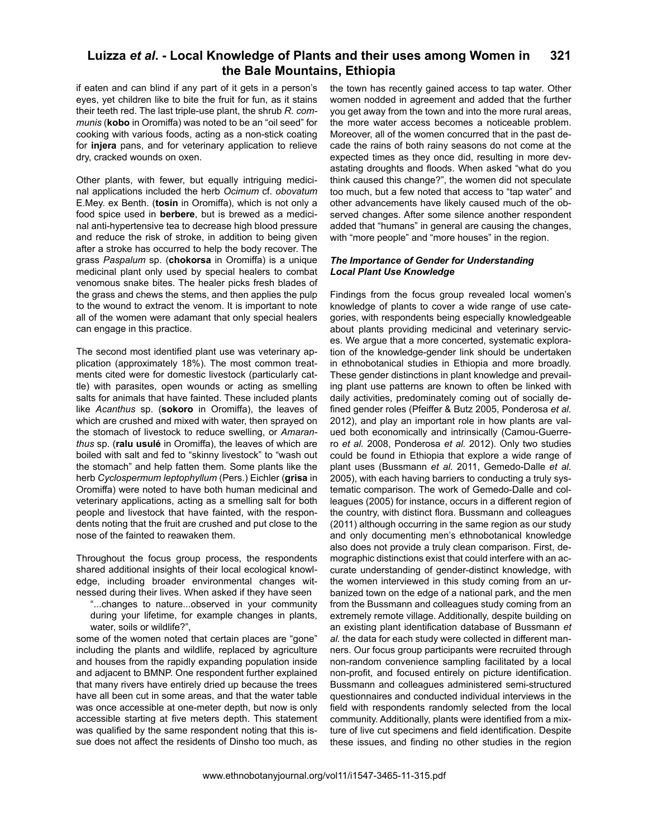if eaten and can blind if any part of it gets in a person's eyes, yet children like to bite the fruit for fun, as it stains their teeth red. The last triple-use plant, the shrub *R. communis* (**kobo** in Oromiffa) was noted to be an "oil seed" for cooking with various foods, acting as a non-stick coating for **injera** pans, and for veterinary application to relieve dry, cracked wounds on oxen.

Other plants, with fewer, but equally intriguing medicinal applications included the herb *Ocimum* cf. *obovatum* E.Mey. ex Benth. (**tosin** in Oromiffa), which is not only a food spice used in **berbere**, but is brewed as a medicinal anti-hypertensive tea to decrease high blood pressure and reduce the risk of stroke, in addition to being given after a stroke has occurred to help the body recover. The grass *Paspalum* sp. (**chokorsa** in Oromiffa) is a unique medicinal plant only used by special healers to combat venomous snake bites. The healer picks fresh blades of the grass and chews the stems, and then applies the pulp to the wound to extract the venom. It is important to note all of the women were adamant that only special healers can engage in this practice.

The second most identified plant use was veterinary application (approximately 18%). The most common treatments cited were for domestic livestock (particularly cattle) with parasites, open wounds or acting as smelling salts for animals that have fainted. These included plants like *Acanthus* sp. (**sokoro** in Oromiffa), the leaves of which are crushed and mixed with water, then sprayed on the stomach of livestock to reduce swelling, or *Amaranthus* sp. (**ralu usulé** in Oromiffa), the leaves of which are boiled with salt and fed to "skinny livestock" to "wash out the stomach" and help fatten them. Some plants like the herb *Cyclospermum leptophyllum* (Pers.) Eichler (**grisa** in Oromiffa) were noted to have both human medicinal and veterinary applications, acting as a smelling salt for both people and livestock that have fainted, with the respondents noting that the fruit are crushed and put close to the nose of the fainted to reawaken them.

Throughout the focus group process, the respondents shared additional insights of their local ecological knowledge, including broader environmental changes witnessed during their lives. When asked if they have seen

"...changes to nature...observed in your community during your lifetime, for example changes in plants, water, soils or wildlife?",

some of the women noted that certain places are "gone" including the plants and wildlife, replaced by agriculture and houses from the rapidly expanding population inside and adjacent to BMNP. One respondent further explained that many rivers have entirely dried up because the trees have all been cut in some areas, and that the water table was once accessible at one-meter depth, but now is only accessible starting at five meters depth. This statement was qualified by the same respondent noting that this issue does not affect the residents of Dinsho too much, as

the town has recently gained access to tap water. Other women nodded in agreement and added that the further you get away from the town and into the more rural areas, the more water access becomes a noticeable problem. Moreover, all of the women concurred that in the past decade the rains of both rainy seasons do not come at the expected times as they once did, resulting in more devastating droughts and floods. When asked "what do you think caused this change?", the women did not speculate too much, but a few noted that access to "tap water" and other advancements have likely caused much of the observed changes. After some silence another respondent added that "humans" in general are causing the changes, with "more people" and "more houses" in the region.

### *The Importance of Gender for Understanding Local Plant Use Knowledge*

Findings from the focus group revealed local women's knowledge of plants to cover a wide range of use categories, with respondents being especially knowledgeable about plants providing medicinal and veterinary services. We argue that a more concerted, systematic exploration of the knowledge-gender link should be undertaken in ethnobotanical studies in Ethiopia and more broadly. These gender distinctions in plant knowledge and prevailing plant use patterns are known to often be linked with daily activities, predominately coming out of socially defined gender roles (Pfeiffer & Butz 2005, Ponderosa *et al.* 2012), and play an important role in how plants are valued both economically and intrinsically (Camou-Guerrero *et al.* 2008, Ponderosa *et al.* 2012). Only two studies could be found in Ethiopia that explore a wide range of plant uses (Bussmann *et al.* 2011, Gemedo-Dalle *et al.* 2005), with each having barriers to conducting a truly systematic comparison. The work of Gemedo-Dalle and colleagues (2005) for instance, occurs in a different region of the country, with distinct flora. Bussmann and colleagues (2011) although occurring in the same region as our study and only documenting men's ethnobotanical knowledge also does not provide a truly clean comparison. First, demographic distinctions exist that could interfere with an accurate understanding of gender-distinct knowledge, with the women interviewed in this study coming from an urbanized town on the edge of a national park, and the men from the Bussmann and colleagues study coming from an extremely remote village. Additionally, despite building on an existing plant identification database of Bussmann *et al.* the data for each study were collected in different manners. Our focus group participants were recruited through non-random convenience sampling facilitated by a local non-profit, and focused entirely on picture identification. Bussmann and colleagues administered semi-structured questionnaires and conducted individual interviews in the field with respondents randomly selected from the local community. Additionally, plants were identified from a mixture of live cut specimens and field identification. Despite these issues, and finding no other studies in the region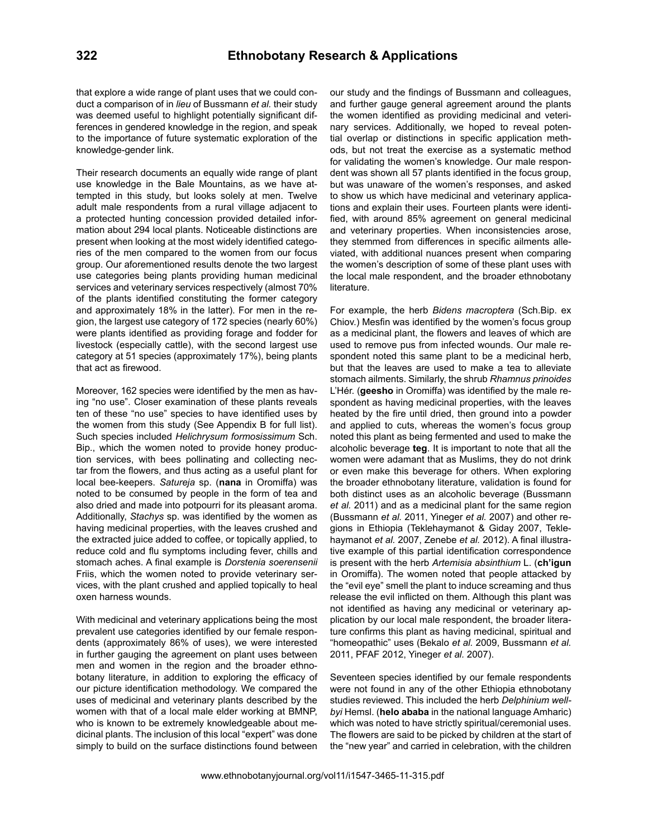that explore a wide range of plant uses that we could conduct a comparison of in *lieu* of Bussmann *et al.* their study was deemed useful to highlight potentially significant differences in gendered knowledge in the region, and speak to the importance of future systematic exploration of the knowledge-gender link.

Their research documents an equally wide range of plant use knowledge in the Bale Mountains, as we have attempted in this study, but looks solely at men. Twelve adult male respondents from a rural village adjacent to a protected hunting concession provided detailed information about 294 local plants. Noticeable distinctions are present when looking at the most widely identified categories of the men compared to the women from our focus group. Our aforementioned results denote the two largest use categories being plants providing human medicinal services and veterinary services respectively (almost 70% of the plants identified constituting the former category and approximately 18% in the latter). For men in the region, the largest use category of 172 species (nearly 60%) were plants identified as providing forage and fodder for livestock (especially cattle), with the second largest use category at 51 species (approximately 17%), being plants that act as firewood.

Moreover, 162 species were identified by the men as having "no use". Closer examination of these plants reveals ten of these "no use" species to have identified uses by the women from this study (See Appendix B for full list). Such species included *Helichrysum formosissimum* Sch. Bip., which the women noted to provide honey production services, with bees pollinating and collecting nectar from the flowers, and thus acting as a useful plant for local bee-keepers. *Satureja* sp. (**nana** in Oromiffa) was noted to be consumed by people in the form of tea and also dried and made into potpourri for its pleasant aroma. Additionally, *Stachys* sp. was identified by the women as having medicinal properties, with the leaves crushed and the extracted juice added to coffee, or topically applied, to reduce cold and flu symptoms including fever, chills and stomach aches. A final example is *Dorstenia soerensenii*  Friis, which the women noted to provide veterinary services, with the plant crushed and applied topically to heal oxen harness wounds.

With medicinal and veterinary applications being the most prevalent use categories identified by our female respondents (approximately 86% of uses), we were interested in further gauging the agreement on plant uses between men and women in the region and the broader ethnobotany literature, in addition to exploring the efficacy of our picture identification methodology. We compared the uses of medicinal and veterinary plants described by the women with that of a local male elder working at BMNP, who is known to be extremely knowledgeable about medicinal plants. The inclusion of this local "expert" was done simply to build on the surface distinctions found between

our study and the findings of Bussmann and colleagues, and further gauge general agreement around the plants the women identified as providing medicinal and veterinary services. Additionally, we hoped to reveal potential overlap or distinctions in specific application methods, but not treat the exercise as a systematic method for validating the women's knowledge. Our male respondent was shown all 57 plants identified in the focus group, but was unaware of the women's responses, and asked to show us which have medicinal and veterinary applications and explain their uses. Fourteen plants were identified, with around 85% agreement on general medicinal and veterinary properties. When inconsistencies arose, they stemmed from differences in specific ailments alleviated, with additional nuances present when comparing the women's description of some of these plant uses with the local male respondent, and the broader ethnobotany literature.

For example, the herb *Bidens macroptera* (Sch.Bip. ex Chiov.) Mesfin was identified by the women's focus group as a medicinal plant, the flowers and leaves of which are used to remove pus from infected wounds. Our male respondent noted this same plant to be a medicinal herb, but that the leaves are used to make a tea to alleviate stomach ailments. Similarly, the shrub *Rhamnus prinoides*  L'Hér. (**geesho** in Oromiffa) was identified by the male respondent as having medicinal properties, with the leaves heated by the fire until dried, then ground into a powder and applied to cuts, whereas the women's focus group noted this plant as being fermented and used to make the alcoholic beverage **teg**. It is important to note that all the women were adamant that as Muslims, they do not drink or even make this beverage for others. When exploring the broader ethnobotany literature, validation is found for both distinct uses as an alcoholic beverage (Bussmann *et al.* 2011) and as a medicinal plant for the same region (Bussmann *et al.* 2011, Yineger *et al.* 2007) and other regions in Ethiopia (Teklehaymanot & Giday 2007, Teklehaymanot *et al.* 2007, Zenebe *et al.* 2012). A final illustrative example of this partial identification correspondence is present with the herb *Artemisia absinthium* L. (**ch'igun** in Oromiffa). The women noted that people attacked by the "evil eye" smell the plant to induce screaming and thus release the evil inflicted on them. Although this plant was not identified as having any medicinal or veterinary application by our local male respondent, the broader literature confirms this plant as having medicinal, spiritual and "homeopathic" uses (Bekalo *et al.* 2009, Bussmann *et al.* 2011, PFAF 2012, Yineger *et al.* 2007).

Seventeen species identified by our female respondents were not found in any of the other Ethiopia ethnobotany studies reviewed. This included the herb *Delphinium wellbyi* Hemsl. (**helo ababa** in the national language Amharic) which was noted to have strictly spiritual/ceremonial uses. The flowers are said to be picked by children at the start of the "new year" and carried in celebration, with the children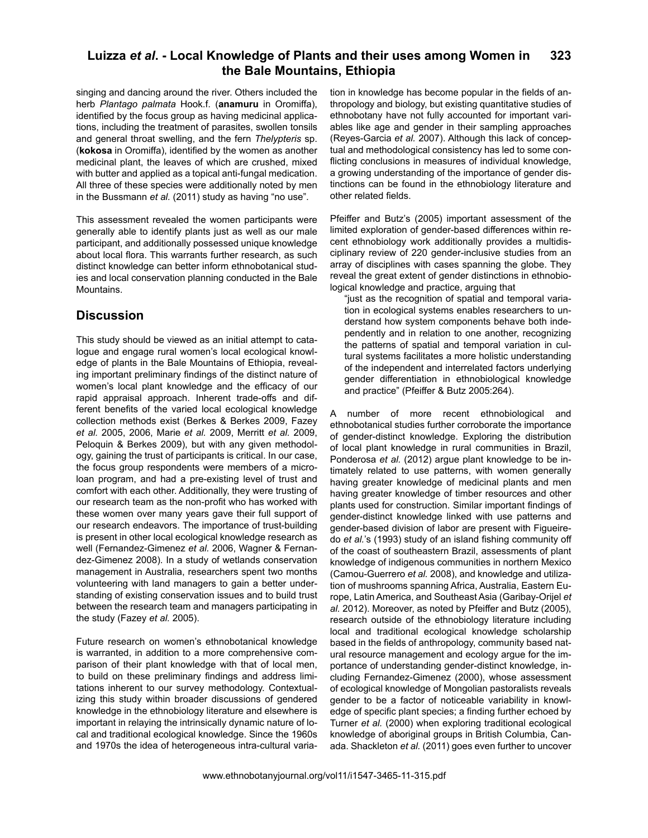singing and dancing around the river. Others included the herb *Plantago palmata* Hook.f. (**anamuru** in Oromiffa), identified by the focus group as having medicinal applications, including the treatment of parasites, swollen tonsils and general throat swelling, and the fern *Thelypteris* sp. (**kokosa** in Oromiffa), identified by the women as another medicinal plant, the leaves of which are crushed, mixed with butter and applied as a topical anti-fungal medication. All three of these species were additionally noted by men in the Bussmann *et al.* (2011) study as having "no use".

This assessment revealed the women participants were generally able to identify plants just as well as our male participant, and additionally possessed unique knowledge about local flora. This warrants further research, as such distinct knowledge can better inform ethnobotanical studies and local conservation planning conducted in the Bale Mountains.

## **Discussion**

This study should be viewed as an initial attempt to catalogue and engage rural women's local ecological knowledge of plants in the Bale Mountains of Ethiopia, revealing important preliminary findings of the distinct nature of women's local plant knowledge and the efficacy of our rapid appraisal approach. Inherent trade-offs and different benefits of the varied local ecological knowledge collection methods exist (Berkes & Berkes 2009, Fazey *et al.* 2005, 2006, Marie *et al.* 2009, Merritt *et al.* 2009, Peloquin & Berkes 2009), but with any given methodology, gaining the trust of participants is critical. In our case, the focus group respondents were members of a microloan program, and had a pre-existing level of trust and comfort with each other. Additionally, they were trusting of our research team as the non-profit who has worked with these women over many years gave their full support of our research endeavors. The importance of trust-building is present in other local ecological knowledge research as well (Fernandez-Gimenez *et al.* 2006, Wagner & Fernandez-Gimenez 2008). In a study of wetlands conservation management in Australia, researchers spent two months volunteering with land managers to gain a better understanding of existing conservation issues and to build trust between the research team and managers participating in the study (Fazey *et al.* 2005).

Future research on women's ethnobotanical knowledge is warranted, in addition to a more comprehensive comparison of their plant knowledge with that of local men, to build on these preliminary findings and address limitations inherent to our survey methodology. Contextualizing this study within broader discussions of gendered knowledge in the ethnobiology literature and elsewhere is important in relaying the intrinsically dynamic nature of local and traditional ecological knowledge. Since the 1960s and 1970s the idea of heterogeneous intra-cultural varia-

tion in knowledge has become popular in the fields of anthropology and biology, but existing quantitative studies of ethnobotany have not fully accounted for important variables like age and gender in their sampling approaches (Reyes-Garcia *et al.* 2007). Although this lack of conceptual and methodological consistency has led to some conflicting conclusions in measures of individual knowledge, a growing understanding of the importance of gender distinctions can be found in the ethnobiology literature and other related fields.

Pfeiffer and Butz's (2005) important assessment of the limited exploration of gender-based differences within recent ethnobiology work additionally provides a multidisciplinary review of 220 gender-inclusive studies from an array of disciplines with cases spanning the globe. They reveal the great extent of gender distinctions in ethnobiological knowledge and practice, arguing that

"just as the recognition of spatial and temporal variation in ecological systems enables researchers to understand how system components behave both independently and in relation to one another, recognizing the patterns of spatial and temporal variation in cultural systems facilitates a more holistic understanding of the independent and interrelated factors underlying gender differentiation in ethnobiological knowledge and practice" (Pfeiffer & Butz 2005:264).

A number of more recent ethnobiological and ethnobotanical studies further corroborate the importance of gender-distinct knowledge. Exploring the distribution of local plant knowledge in rural communities in Brazil, Ponderosa *et al.* (2012) argue plant knowledge to be intimately related to use patterns, with women generally having greater knowledge of medicinal plants and men having greater knowledge of timber resources and other plants used for construction. Similar important findings of gender-distinct knowledge linked with use patterns and gender-based division of labor are present with Figueiredo *et al.*'s (1993) study of an island fishing community off of the coast of southeastern Brazil, assessments of plant knowledge of indigenous communities in northern Mexico (Camou-Guerrero *et al.* 2008), and knowledge and utilization of mushrooms spanning Africa, Australia, Eastern Europe, Latin America, and Southeast Asia (Garibay-Orijel *et al.* 2012). Moreover, as noted by Pfeiffer and Butz (2005), research outside of the ethnobiology literature including local and traditional ecological knowledge scholarship based in the fields of anthropology, community based natural resource management and ecology argue for the importance of understanding gender-distinct knowledge, including Fernandez-Gimenez (2000), whose assessment of ecological knowledge of Mongolian pastoralists reveals gender to be a factor of noticeable variability in knowledge of specific plant species; a finding further echoed by Turner *et al.* (2000) when exploring traditional ecological knowledge of aboriginal groups in British Columbia, Canada. Shackleton *et al.* (2011) goes even further to uncover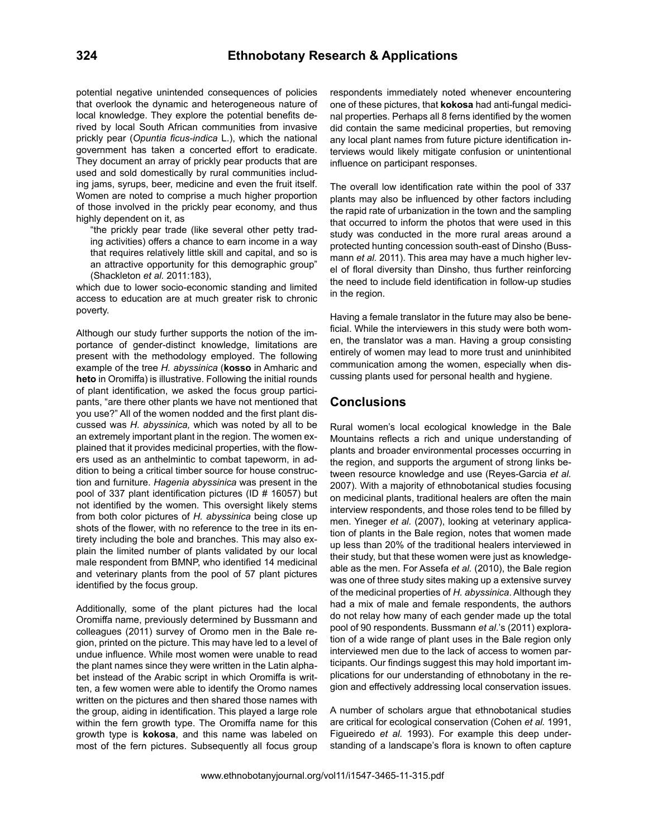potential negative unintended consequences of policies that overlook the dynamic and heterogeneous nature of local knowledge. They explore the potential benefits derived by local South African communities from invasive prickly pear (*Opuntia ficus-indica* L.), which the national government has taken a concerted effort to eradicate. They document an array of prickly pear products that are used and sold domestically by rural communities including jams, syrups, beer, medicine and even the fruit itself. Women are noted to comprise a much higher proportion of those involved in the prickly pear economy, and thus highly dependent on it, as

"the prickly pear trade (like several other petty trading activities) offers a chance to earn income in a way that requires relatively little skill and capital, and so is an attractive opportunity for this demographic group" (Shackleton *et al.* 2011:183),

which due to lower socio-economic standing and limited access to education are at much greater risk to chronic poverty.

Although our study further supports the notion of the importance of gender-distinct knowledge, limitations are present with the methodology employed. The following example of the tree *H. abyssinica* (**kosso** in Amharic and **heto** in Oromiffa) is illustrative. Following the initial rounds of plant identification, we asked the focus group participants, "are there other plants we have not mentioned that you use?" All of the women nodded and the first plant discussed was *H. abyssinica,* which was noted by all to be an extremely important plant in the region. The women explained that it provides medicinal properties, with the flowers used as an anthelmintic to combat tapeworm, in addition to being a critical timber source for house construction and furniture. *Hagenia abyssinica* was present in the pool of 337 plant identification pictures (ID # 16057) but not identified by the women. This oversight likely stems from both color pictures of *H. abyssinica* being close up shots of the flower, with no reference to the tree in its entirety including the bole and branches. This may also explain the limited number of plants validated by our local male respondent from BMNP, who identified 14 medicinal and veterinary plants from the pool of 57 plant pictures identified by the focus group.

Additionally, some of the plant pictures had the local Oromiffa name, previously determined by Bussmann and colleagues (2011) survey of Oromo men in the Bale region, printed on the picture. This may have led to a level of undue influence. While most women were unable to read the plant names since they were written in the Latin alphabet instead of the Arabic script in which Oromiffa is written, a few women were able to identify the Oromo names written on the pictures and then shared those names with the group, aiding in identification. This played a large role within the fern growth type. The Oromiffa name for this growth type is **kokosa**, and this name was labeled on most of the fern pictures. Subsequently all focus group

respondents immediately noted whenever encountering one of these pictures, that **kokosa** had anti-fungal medicinal properties. Perhaps all 8 ferns identified by the women did contain the same medicinal properties, but removing any local plant names from future picture identification interviews would likely mitigate confusion or unintentional influence on participant responses.

The overall low identification rate within the pool of 337 plants may also be influenced by other factors including the rapid rate of urbanization in the town and the sampling that occurred to inform the photos that were used in this study was conducted in the more rural areas around a protected hunting concession south-east of Dinsho (Bussmann *et al.* 2011). This area may have a much higher level of floral diversity than Dinsho, thus further reinforcing the need to include field identification in follow-up studies in the region.

Having a female translator in the future may also be beneficial. While the interviewers in this study were both women, the translator was a man. Having a group consisting entirely of women may lead to more trust and uninhibited communication among the women, especially when discussing plants used for personal health and hygiene.

## **Conclusions**

Rural women's local ecological knowledge in the Bale Mountains reflects a rich and unique understanding of plants and broader environmental processes occurring in the region, and supports the argument of strong links between resource knowledge and use (Reyes-Garcia *et al.* 2007). With a majority of ethnobotanical studies focusing on medicinal plants, traditional healers are often the main interview respondents, and those roles tend to be filled by men. Yineger *et al.* (2007), looking at veterinary application of plants in the Bale region, notes that women made up less than 20% of the traditional healers interviewed in their study, but that these women were just as knowledgeable as the men. For Assefa *et al.* (2010), the Bale region was one of three study sites making up a extensive survey of the medicinal properties of *H. abyssinica*. Although they had a mix of male and female respondents, the authors do not relay how many of each gender made up the total pool of 90 respondents. Bussmann *et al.*'s (2011) exploration of a wide range of plant uses in the Bale region only interviewed men due to the lack of access to women participants. Our findings suggest this may hold important implications for our understanding of ethnobotany in the region and effectively addressing local conservation issues.

A number of scholars argue that ethnobotanical studies are critical for ecological conservation (Cohen *et al.* 1991, Figueiredo *et al.* 1993). For example this deep understanding of a landscape's flora is known to often capture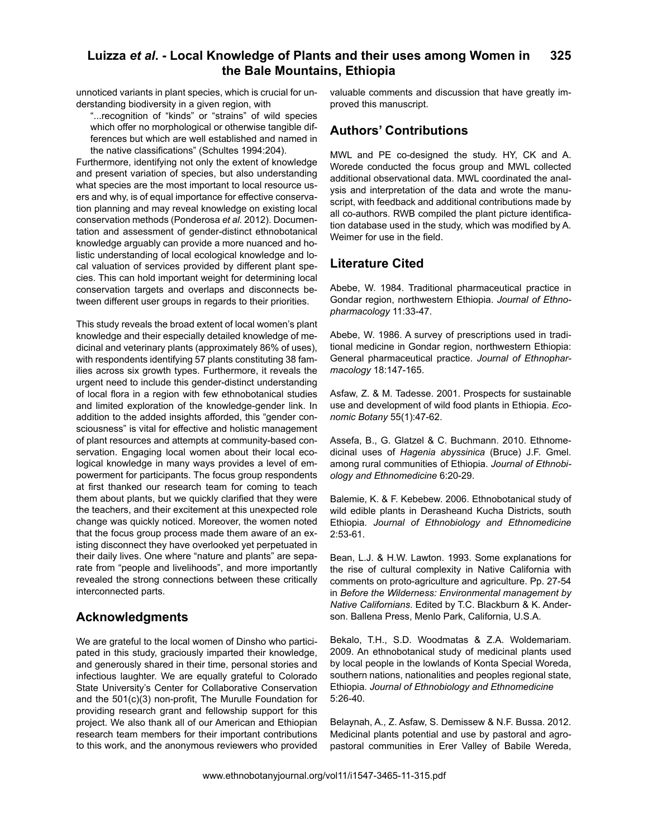unnoticed variants in plant species, which is crucial for understanding biodiversity in a given region, with

"...recognition of "kinds" or "strains" of wild species which offer no morphological or otherwise tangible differences but which are well established and named in the native classifications" (Schultes 1994:204).

Furthermore, identifying not only the extent of knowledge and present variation of species, but also understanding what species are the most important to local resource users and why, is of equal importance for effective conservation planning and may reveal knowledge on existing local conservation methods (Ponderosa *et al.* 2012). Documentation and assessment of gender-distinct ethnobotanical knowledge arguably can provide a more nuanced and holistic understanding of local ecological knowledge and local valuation of services provided by different plant species. This can hold important weight for determining local conservation targets and overlaps and disconnects between different user groups in regards to their priorities.

This study reveals the broad extent of local women's plant knowledge and their especially detailed knowledge of medicinal and veterinary plants (approximately 86% of uses), with respondents identifying 57 plants constituting 38 families across six growth types. Furthermore, it reveals the urgent need to include this gender-distinct understanding of local flora in a region with few ethnobotanical studies and limited exploration of the knowledge-gender link. In addition to the added insights afforded, this "gender consciousness" is vital for effective and holistic management of plant resources and attempts at community-based conservation. Engaging local women about their local ecological knowledge in many ways provides a level of empowerment for participants. The focus group respondents at first thanked our research team for coming to teach them about plants, but we quickly clarified that they were the teachers, and their excitement at this unexpected role change was quickly noticed. Moreover, the women noted that the focus group process made them aware of an existing disconnect they have overlooked yet perpetuated in their daily lives. One where "nature and plants" are separate from "people and livelihoods", and more importantly revealed the strong connections between these critically interconnected parts.

# **Acknowledgments**

We are grateful to the local women of Dinsho who participated in this study, graciously imparted their knowledge, and generously shared in their time, personal stories and infectious laughter. We are equally grateful to Colorado State University's Center for Collaborative Conservation and the 501(c)(3) non-profit, The Murulle Foundation for providing research grant and fellowship support for this project. We also thank all of our American and Ethiopian research team members for their important contributions to this work, and the anonymous reviewers who provided

valuable comments and discussion that have greatly improved this manuscript.

# **Authors' Contributions**

MWL and PE co-designed the study. HY, CK and A. Worede conducted the focus group and MWL collected additional observational data. MWL coordinated the analysis and interpretation of the data and wrote the manuscript, with feedback and additional contributions made by all co-authors. RWB compiled the plant picture identification database used in the study, which was modified by A. Weimer for use in the field.

# **Literature Cited**

Abebe, W. 1984. Traditional pharmaceutical practice in Gondar region, northwestern Ethiopia. *Journal of Ethnopharmacology* 11:33-47.

Abebe, W. 1986. A survey of prescriptions used in traditional medicine in Gondar region, northwestern Ethiopia: General pharmaceutical practice. *Journal of Ethnopharmacology* 18:147-165.

Asfaw, Z. & M. Tadesse. 2001. Prospects for sustainable use and development of wild food plants in Ethiopia. *Economic Botany* 55(1):47-62.

Assefa, B., G. Glatzel & C. Buchmann. 2010. Ethnomedicinal uses of *Hagenia abyssinica* (Bruce) J.F. Gmel. among rural communities of Ethiopia. *Journal of Ethnobiology and Ethnomedicine* 6:20-29.

Balemie, K. & F. Kebebew. 2006. Ethnobotanical study of wild edible plants in Derasheand Kucha Districts, south Ethiopia. *Journal of Ethnobiology and Ethnomedicine* 2:53-61.

Bean, L.J. & H.W. Lawton. 1993. Some explanations for the rise of cultural complexity in Native California with comments on proto-agriculture and agriculture. Pp. 27-54 in *Before the Wilderness: Environmental management by Native Californians*. Edited by T.C. Blackburn & K. Anderson. Ballena Press, Menlo Park, California, U.S.A.

Bekalo, T.H., S.D. Woodmatas & Z.A. Woldemariam. 2009. An ethnobotanical study of medicinal plants used by local people in the lowlands of Konta Special Woreda, southern nations, nationalities and peoples regional state, Ethiopia. *Journal of Ethnobiology and Ethnomedicine* 5:26-40.

Belaynah, A., Z. Asfaw, S. Demissew & N.F. Bussa. 2012. Medicinal plants potential and use by pastoral and agropastoral communities in Erer Valley of Babile Wereda,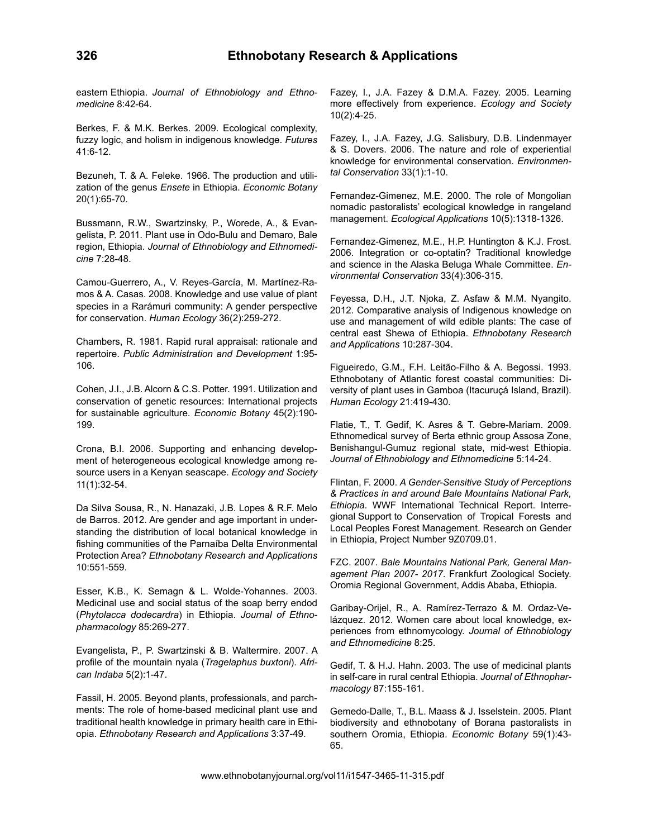eastern Ethiopia. *Journal of Ethnobiology and Ethnomedicine* 8:42-64.

Berkes, F. & M.K. Berkes. 2009. Ecological complexity, fuzzy logic, and holism in indigenous knowledge. *Futures* 41:6-12.

Bezuneh, T. & A. Feleke. 1966. The production and utilization of the genus *Ensete* in Ethiopia. *Economic Botany* 20(1):65-70.

Bussmann, R.W., Swartzinsky, P., Worede, A., & Evangelista, P. 2011. Plant use in Odo-Bulu and Demaro, Bale region, Ethiopia. *Journal of Ethnobiology and Ethnomedicine* 7:28-48.

Camou-Guerrero, A., V. Reyes-García, M. Martínez-Ramos & A. Casas. 2008. Knowledge and use value of plant species in a Rarámuri community: A gender perspective for conservation. *Human Ecology* 36(2):259-272.

Chambers, R. 1981. Rapid rural appraisal: rationale and repertoire. *Public Administration and Development* 1:95- 106.

Cohen, J.I., J.B. Alcorn & C.S. Potter. 1991. Utilization and conservation of genetic resources: International projects for sustainable agriculture. *Economic Botany* 45(2):190- 199.

Crona, B.I. 2006. Supporting and enhancing development of heterogeneous ecological knowledge among resource users in a Kenyan seascape. *Ecology and Society* 11(1):32-54.

Da Silva Sousa, R., N. Hanazaki, J.B. Lopes & R.F. Melo de Barros. 2012. Are gender and age important in understanding the distribution of local botanical knowledge in fishing communities of the Parnaíba Delta Environmental Protection Area? *Ethnobotany Research and Applications* 10:551-559.

Esser, K.B., K. Semagn & L. Wolde-Yohannes. 2003. Medicinal use and social status of the soap berry endod (*Phytolacca dodecardra*) in Ethiopia. *Journal of Ethnopharmacology* 85:269-277.

Evangelista, P., P. Swartzinski & B. Waltermire. 2007. A profile of the mountain nyala (*Tragelaphus buxtoni*). *African Indaba* 5(2):1-47.

Fassil, H. 2005. Beyond plants, professionals, and parchments: The role of home-based medicinal plant use and traditional health knowledge in primary health care in Ethiopia. *Ethnobotany Research and Applications* 3:37-49.

Fazey, I., J.A. Fazey & D.M.A. Fazey. 2005. Learning more effectively from experience. *Ecology and Society*  10(2):4-25.

Fazey, I., J.A. Fazey, J.G. Salisbury, D.B. Lindenmayer & S. Dovers. 2006. The nature and role of experiential knowledge for environmental conservation. *Environmental Conservation* 33(1):1-10.

Fernandez-Gimenez, M.E. 2000. The role of Mongolian nomadic pastoralists' ecological knowledge in rangeland management. *Ecological Applications* 10(5):1318-1326.

Fernandez-Gimenez, M.E., H.P. Huntington & K.J. Frost. 2006. Integration or co-optatin? Traditional knowledge and science in the Alaska Beluga Whale Committee. *Environmental Conservation* 33(4):306-315.

Feyessa, D.H., J.T. Njoka, Z. Asfaw & M.M. Nyangito. 2012. Comparative analysis of Indigenous knowledge on use and management of wild edible plants: The case of central east Shewa of Ethiopia. *Ethnobotany Research and Applications* 10:287-304.

Figueiredo, G.M., F.H. Leitão-Filho & A. Begossi. 1993. Ethnobotany of Atlantic forest coastal communities: Diversity of plant uses in Gamboa (Itacuruçá Island, Brazil). *Human Ecology* 21:419-430.

Flatie, T., T. Gedif, K. Asres & T. Gebre-Mariam. 2009. Ethnomedical survey of Berta ethnic group Assosa Zone, Benishangul-Gumuz regional state, mid-west Ethiopia. *Journal of Ethnobiology and Ethnomedicine* 5:14-24.

Flintan, F. 2000. *A Gender-Sensitive Study of Perceptions & Practices in and around Bale Mountains National Park, Ethiopia*. WWF International Technical Report. Interregional Support to Conservation of Tropical Forests and Local Peoples Forest Management. Research on Gender in Ethiopia, Project Number 9Z0709.01.

FZC. 2007. *Bale Mountains National Park, General Management Plan 2007- 2017*. Frankfurt Zoological Society. Oromia Regional Government, Addis Ababa, Ethiopia.

Garibay-Orijel, R., A. Ramírez-Terrazo & M. Ordaz-Velázquez. 2012. Women care about local knowledge, experiences from ethnomycology. *Journal of Ethnobiology and Ethnomedicine* 8:25.

Gedif, T. & H.J. Hahn. 2003. The use of medicinal plants in self-care in rural central Ethiopia. *Journal of Ethnopharmacology* 87:155-161.

Gemedo-Dalle, T., B.L. Maass & J. Isselstein. 2005. Plant biodiversity and ethnobotany of Borana pastoralists in southern Oromia, Ethiopia. *Economic Botany* 59(1):43- 65.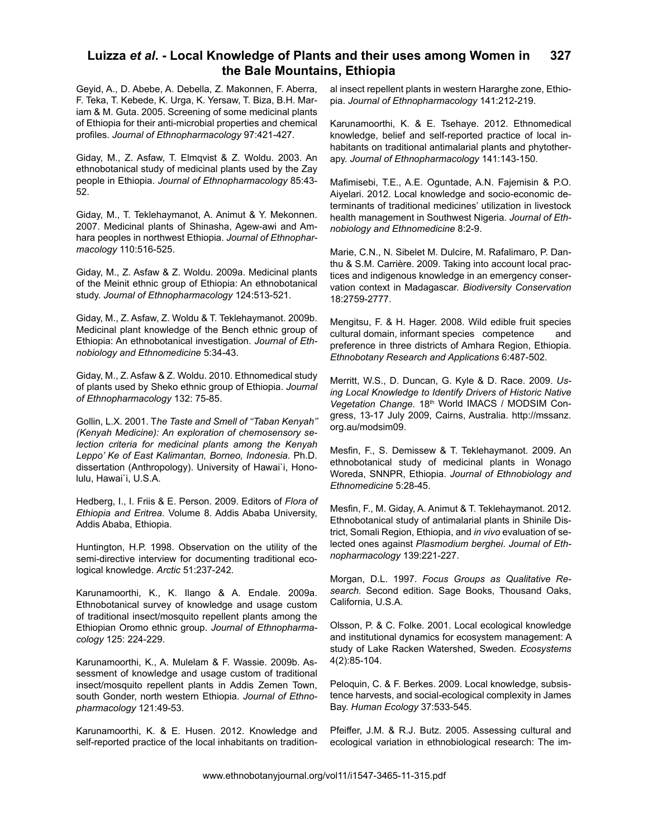Geyid, A., D. Abebe, A. Debella, Z. Makonnen, F. Aberra, F. Teka, T. Kebede, K. Urga, K. Yersaw, T. Biza, B.H. Mariam & M. Guta. 2005. Screening of some medicinal plants of Ethiopia for their anti-microbial properties and chemical profiles. *Journal of Ethnopharmacology* 97:421-427.

Giday, M., Z. Asfaw, T. Elmqvist & Z. Woldu. 2003. An ethnobotanical study of medicinal plants used by the Zay people in Ethiopia. *Journal of Ethnopharmacology* 85:43- 52.

Giday, M., T. Teklehaymanot, A. Animut & Y. Mekonnen. 2007. Medicinal plants of Shinasha, Agew-awi and Amhara peoples in northwest Ethiopia. *Journal of Ethnopharmacology* 110:516-525.

Giday, M., Z. Asfaw & Z. Woldu. 2009a. Medicinal plants of the Meinit ethnic group of Ethiopia: An ethnobotanical study. *Journal of Ethnopharmacology* 124:513-521.

Giday, M., Z. Asfaw, Z. Woldu & T. Teklehaymanot. 2009b. Medicinal plant knowledge of the Bench ethnic group of Ethiopia: An ethnobotanical investigation. *Journal of Ethnobiology and Ethnomedicine* 5:34-43.

Giday, M., Z. Asfaw & Z. Woldu. 2010. Ethnomedical study of plants used by Sheko ethnic group of Ethiopia. *Journal of Ethnopharmacology* 132: 75-85.

Gollin, L.X. 2001. T*he Taste and Smell of ''Taban Kenyah'' (Kenyah Medicine): An exploration of chemosensory selection criteria for medicinal plants among the Kenyah Leppo' Ke of East Kalimantan, Borneo, Indonesia*. Ph.D. dissertation (Anthropology). University of Hawai`i, Honolulu, Hawai`i, U.S.A.

Hedberg, I., I. Friis & E. Person. 2009. Editors of *Flora of Ethiopia and Eritrea*. Volume 8. Addis Ababa University, Addis Ababa, Ethiopia.

Huntington, H.P. 1998. Observation on the utility of the semi-directive interview for documenting traditional ecological knowledge. *Arctic* 51:237-242.

Karunamoorthi, K., K. Ilango & A. Endale. 2009a. Ethnobotanical survey of knowledge and usage custom of traditional insect/mosquito repellent plants among the Ethiopian Oromo ethnic group. *Journal of Ethnopharmacology* 125: 224-229.

Karunamoorthi, K., A. Mulelam & F. Wassie. 2009b. Assessment of knowledge and usage custom of traditional insect/mosquito repellent plants in Addis Zemen Town, south Gonder, north western Ethiopia. *Journal of Ethnopharmacology* 121:49-53.

Karunamoorthi, K. & E. Husen. 2012. Knowledge and self-reported practice of the local inhabitants on traditional insect repellent plants in western Hararghe zone, Ethiopia. *Journal of Ethnopharmacology* 141:212-219.

Karunamoorthi, K. & E. Tsehaye. 2012. Ethnomedical knowledge, belief and self-reported practice of local inhabitants on traditional antimalarial plants and phytotherapy. *Journal of Ethnopharmacology* 141:143-150.

Mafimisebi, T.E., A.E. Oguntade, A.N. Fajemisin & P.O. Aiyelari. 2012. Local knowledge and socio-economic determinants of traditional medicines' utilization in livestock health management in Southwest Nigeria. *Journal of Ethnobiology and Ethnomedicine* 8:2-9.

Marie, C.N., N. Sibelet M. Dulcire, M. Rafalimaro, P. Danthu & S.M. Carrière. 2009. Taking into account local practices and indigenous knowledge in an emergency conservation context in Madagascar. *Biodiversity Conservation*  18:2759-2777.

Mengitsu, F. & H. Hager. 2008. Wild edible fruit species cultural domain, informant species competence and preference in three districts of Amhara Region, Ethiopia. *Ethnobotany Research and Applications* 6:487-502.

Merritt, W.S., D. Duncan, G. Kyle & D. Race. 2009. *Using Local Knowledge to Identify Drivers of Historic Native*  Vegetation Change. 18<sup>th</sup> World IMACS / MODSIM Congress, 13-17 July 2009, Cairns, Australia. http://mssanz. org.au/modsim09.

Mesfin, F., S. Demissew & T. Teklehaymanot. 2009. An ethnobotanical study of medicinal plants in Wonago Woreda, SNNPR, Ethiopia. *Journal of Ethnobiology and Ethnomedicine* 5:28-45.

Mesfin, F., M. Giday, A. Animut & T. Teklehaymanot. 2012. Ethnobotanical study of antimalarial plants in Shinile District, Somali Region, Ethiopia, and *in vivo* evaluation of selected ones against *Plasmodium berghei*. *Journal of Ethnopharmacology* 139:221-227.

Morgan, D.L. 1997. *Focus Groups as Qualitative Research.* Second edition. Sage Books, Thousand Oaks, California, U.S.A.

Olsson, P. & C. Folke. 2001. Local ecological knowledge and institutional dynamics for ecosystem management: A study of Lake Racken Watershed, Sweden. *Ecosystems* 4(2):85-104.

Peloquin, C. & F. Berkes. 2009. Local knowledge, subsistence harvests, and social-ecological complexity in James Bay. *Human Ecology* 37:533-545.

Pfeiffer, J.M. & R.J. Butz. 2005. Assessing cultural and ecological variation in ethnobiological research: The im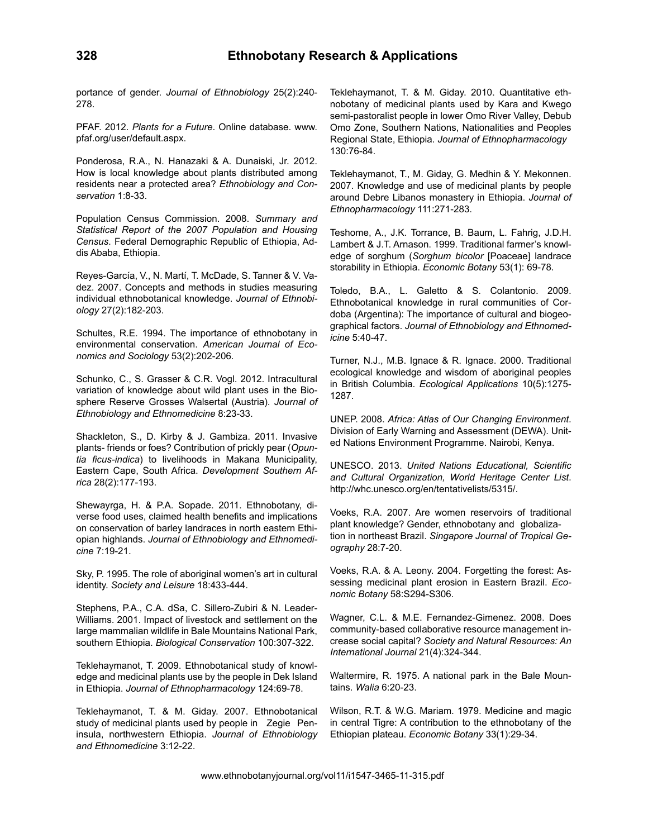portance of gender. *Journal of Ethnobiology* 25(2):240- 278.

PFAF. 2012. *Plants for a Future*. Online database. www. pfaf.org/user/default.aspx.

Ponderosa, R.A., N. Hanazaki & A. Dunaiski, Jr. 2012. How is local knowledge about plants distributed among residents near a protected area? *Ethnobiology and Conservation* 1:8-33.

Population Census Commission. 2008. *Summary and Statistical Report of the 2007 Population and Housing Census*. Federal Demographic Republic of Ethiopia, Addis Ababa, Ethiopia.

Reyes-García, V., N. Martí, T. McDade, S. Tanner & V. Vadez. 2007. Concepts and methods in studies measuring individual ethnobotanical knowledge. *Journal of Ethnobiology* 27(2):182-203.

Schultes, R.E. 1994. The importance of ethnobotany in environmental conservation. *American Journal of Economics and Sociology* 53(2):202-206.

Schunko, C., S. Grasser & C.R. Vogl. 2012. Intracultural variation of knowledge about wild plant uses in the Biosphere Reserve Grosses Walsertal (Austria). *Journal of Ethnobiology and Ethnomedicine* 8:23-33.

Shackleton, S., D. Kirby & J. Gambiza. 2011. Invasive plants- friends or foes? Contribution of prickly pear (*Opuntia ficus-indica*) to livelihoods in Makana Municipality, Eastern Cape, South Africa. *Development Southern Africa* 28(2):177-193.

Shewayrga, H. & P.A. Sopade. 2011. Ethnobotany, diverse food uses, claimed health benefits and implications on conservation of barley landraces in north eastern Ethiopian highlands. *Journal of Ethnobiology and Ethnomedicine* 7:19-21.

Sky, P. 1995. The role of aboriginal women's art in cultural identity. *Society and Leisure* 18:433-444.

Stephens, P.A., C.A. dSa, C. Sillero-Zubiri & N. Leader-Williams. 2001. Impact of livestock and settlement on the large mammalian wildlife in Bale Mountains National Park, southern Ethiopia. *Biological Conservation* 100:307-322.

Teklehaymanot, T. 2009. Ethnobotanical study of knowledge and medicinal plants use by the people in Dek Island in Ethiopia. *Journal of Ethnopharmacology* 124:69-78.

Teklehaymanot, T. & M. Giday. 2007. Ethnobotanical study of medicinal plants used by people in Zegie Peninsula, northwestern Ethiopia. *Journal of Ethnobiology and Ethnomedicine* 3:12-22.

Teklehaymanot, T. & M. Giday. 2010. Quantitative ethnobotany of medicinal plants used by Kara and Kwego semi-pastoralist people in lower Omo River Valley, Debub Omo Zone, Southern Nations, Nationalities and Peoples Regional State, Ethiopia. *Journal of Ethnopharmacology* 130:76-84.

Teklehaymanot, T., M. Giday, G. Medhin & Y. Mekonnen. 2007. Knowledge and use of medicinal plants by people around Debre Libanos monastery in Ethiopia. *Journal of Ethnopharmacology* 111:271-283.

Teshome, A., J.K. Torrance, B. Baum, L. Fahrig, J.D.H. Lambert & J.T. Arnason. 1999. Traditional farmer's knowledge of sorghum (*Sorghum bicolor* [Poaceae] landrace storability in Ethiopia. *Economic Botany* 53(1): 69-78.

Toledo, B.A., L. Galetto & S. Colantonio. 2009. Ethnobotanical knowledge in rural communities of Cordoba (Argentina): The importance of cultural and biogeographical factors. *Journal of Ethnobiology and Ethnomedicine* 5:40-47.

Turner, N.J., M.B. Ignace & R. Ignace. 2000. Traditional ecological knowledge and wisdom of aboriginal peoples in British Columbia. *Ecological Applications* 10(5):1275- 1287.

UNEP. 2008. *Africa: Atlas of Our Changing Environment*. Division of Early Warning and Assessment (DEWA). United Nations Environment Programme. Nairobi, Kenya.

UNESCO. 2013. *United Nations Educational, Scientific and Cultural Organization, World Heritage Center List*. http://whc.unesco.org/en/tentativelists/5315/.

Voeks, R.A. 2007. Are women reservoirs of traditional plant knowledge? Gender, ethnobotany and globalization in northeast Brazil. *Singapore Journal of Tropical Geography* 28:7-20.

Voeks, R.A. & A. Leony. 2004. Forgetting the forest: Assessing medicinal plant erosion in Eastern Brazil. *Economic Botany* 58:S294-S306.

Wagner, C.L. & M.E. Fernandez-Gimenez. 2008. Does community-based collaborative resource management increase social capital? *Society and Natural Resources: An International Journal* 21(4):324-344.

Waltermire, R. 1975. A national park in the Bale Mountains. *Walia* 6:20-23.

Wilson, R.T. & W.G. Mariam. 1979. Medicine and magic in central Tigre: A contribution to the ethnobotany of the Ethiopian plateau. *Economic Botany* 33(1):29-34.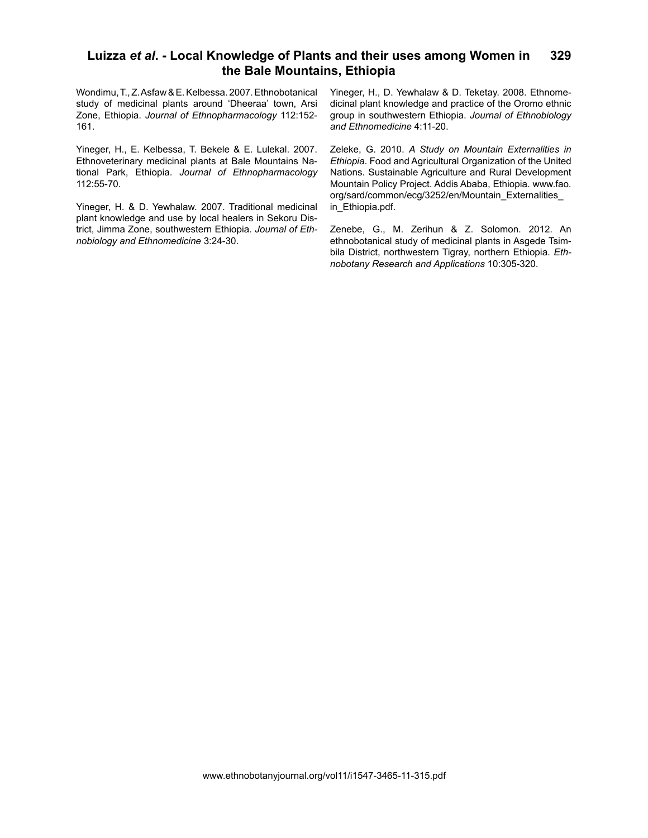Wondimu, T., Z. Asfaw & E. Kelbessa. 2007. Ethnobotanical study of medicinal plants around 'Dheeraa' town, Arsi Zone, Ethiopia. *Journal of Ethnopharmacology* 112:152- 161.

Yineger, H., E. Kelbessa, T. Bekele & E. Lulekal. 2007. Ethnoveterinary medicinal plants at Bale Mountains National Park, Ethiopia. *Journal of Ethnopharmacology* 112:55-70.

Yineger, H. & D. Yewhalaw. 2007. Traditional medicinal plant knowledge and use by local healers in Sekoru District, Jimma Zone, southwestern Ethiopia. *Journal of Ethnobiology and Ethnomedicine* 3:24-30.

Yineger, H., D. Yewhalaw & D. Teketay. 2008. Ethnomedicinal plant knowledge and practice of the Oromo ethnic group in southwestern Ethiopia. *Journal of Ethnobiology and Ethnomedicine* 4:11-20.

Zeleke, G. 2010. *A Study on Mountain Externalities in Ethiopia*. Food and Agricultural Organization of the United Nations. Sustainable Agriculture and Rural Development Mountain Policy Project. Addis Ababa, Ethiopia. www.fao. org/sard/common/ecg/3252/en/Mountain\_Externalities\_ in Ethiopia.pdf.

Zenebe, G., M. Zerihun & Z. Solomon. 2012. An ethnobotanical study of medicinal plants in Asgede Tsimbila District, northwestern Tigray, northern Ethiopia. *Ethnobotany Research and Applications* 10:305-320.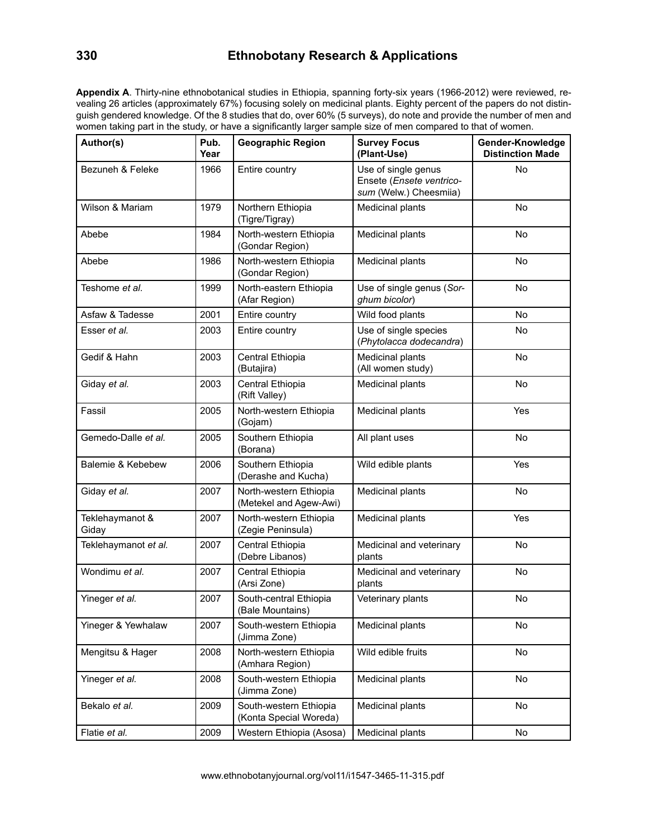# **330 Ethnobotany Research & Applications**

**Appendix A**. Thirty-nine ethnobotanical studies in Ethiopia, spanning forty-six years (1966-2012) were reviewed, revealing 26 articles (approximately 67%) focusing solely on medicinal plants. Eighty percent of the papers do not distinguish gendered knowledge. Of the 8 studies that do, over 60% (5 surveys), do note and provide the number of men and women taking part in the study, or have a significantly larger sample size of men compared to that of women.

| Author(s)                | Pub.<br>Year | <b>Geographic Region</b>                         | <b>Survey Focus</b><br>(Plant-Use)                                        | Gender-Knowledge<br><b>Distinction Made</b> |
|--------------------------|--------------|--------------------------------------------------|---------------------------------------------------------------------------|---------------------------------------------|
| Bezuneh & Feleke         | 1966         | Entire country                                   | Use of single genus<br>Ensete (Ensete ventrico-<br>sum (Welw.) Cheesmiia) | No                                          |
| Wilson & Mariam          | 1979         | Northern Ethiopia<br>(Tigre/Tigray)              | Medicinal plants                                                          | No                                          |
| Abebe                    | 1984         | North-western Ethiopia<br>(Gondar Region)        | <b>Medicinal plants</b>                                                   | <b>No</b>                                   |
| Abebe                    | 1986         | North-western Ethiopia<br>(Gondar Region)        | Medicinal plants                                                          | No                                          |
| Teshome <i>et al</i> .   | 1999         | North-eastern Ethiopia<br>(Afar Region)          | Use of single genus (Sor-<br>ghum bicolor)                                | No                                          |
| Asfaw & Tadesse          | 2001         | Entire country                                   | Wild food plants                                                          | <b>No</b>                                   |
| Esser et al.             | 2003         | Entire country                                   | Use of single species<br>(Phytolacca dodecandra)                          | <b>No</b>                                   |
| Gedif & Hahn             | 2003         | Central Ethiopia<br>(Butajira)                   | Medicinal plants<br>(All women study)                                     | No                                          |
| Giday et al.             | 2003         | Central Ethiopia<br>(Rift Valley)                | Medicinal plants                                                          | No                                          |
| Fassil                   | 2005         | North-western Ethiopia<br>(Gojam)                | Medicinal plants                                                          | Yes                                         |
| Gemedo-Dalle et al.      | 2005         | Southern Ethiopia<br>(Borana)                    | All plant uses                                                            | No                                          |
| Balemie & Kebebew        | 2006         | Southern Ethiopia<br>(Derashe and Kucha)         | Wild edible plants                                                        | Yes                                         |
| Giday et al.             | 2007         | North-western Ethiopia<br>(Metekel and Agew-Awi) | Medicinal plants                                                          | No                                          |
| Teklehaymanot &<br>Giday | 2007         | North-western Ethiopia<br>(Zegie Peninsula)      | Medicinal plants                                                          | Yes                                         |
| Teklehaymanot et al.     | 2007         | Central Ethiopia<br>(Debre Libanos)              | Medicinal and veterinary<br>plants                                        | <b>No</b>                                   |
| Wondimu et al.           | 2007         | Central Ethiopia<br>(Arsi Zone)                  | Medicinal and veterinary<br>plants                                        | No                                          |
| Yineger et al.           | 2007         | South-central Ethiopia<br>(Bale Mountains)       | Veterinary plants                                                         | No                                          |
| Yineger & Yewhalaw       | 2007         | South-western Ethiopia<br>(Jimma Zone)           | Medicinal plants                                                          | No                                          |
| Mengitsu & Hager         | 2008         | North-western Ethiopia<br>(Amhara Region)        | Wild edible fruits                                                        | No                                          |
| Yineger et al.           | 2008         | South-western Ethiopia<br>(Jimma Zone)           | Medicinal plants                                                          | No                                          |
| Bekalo et al.            | 2009         | South-western Ethiopia<br>(Konta Special Woreda) | Medicinal plants                                                          | No                                          |
| Flatie et al.            | 2009         | Western Ethiopia (Asosa)                         | Medicinal plants                                                          | No                                          |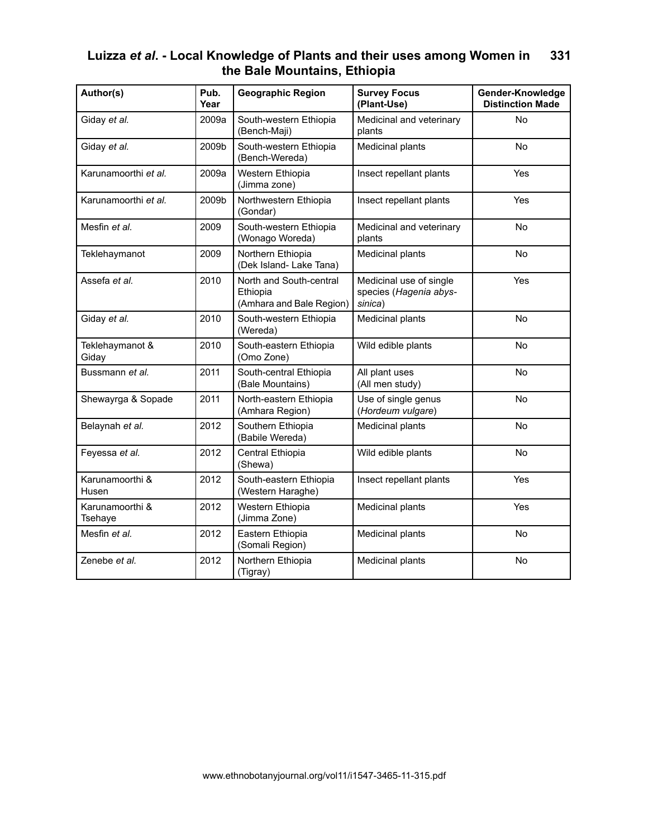| Author(s)                  | Pub.<br>Year | <b>Geographic Region</b>                                        | <b>Survey Focus</b><br>(Plant-Use)                           | Gender-Knowledge<br><b>Distinction Made</b> |
|----------------------------|--------------|-----------------------------------------------------------------|--------------------------------------------------------------|---------------------------------------------|
| Giday et al.               | 2009a        | South-western Ethiopia<br>(Bench-Maji)                          | Medicinal and veterinary<br>plants                           | <b>No</b>                                   |
| Giday et al.               | 2009b        | South-western Ethiopia<br>(Bench-Wereda)                        | Medicinal plants                                             | No                                          |
| Karunamoorthi et al.       | 2009a        | Western Ethiopia<br>(Jimma zone)                                | Insect repellant plants                                      | Yes                                         |
| Karunamoorthi et al.       | 2009b        | Northwestern Ethiopia<br>(Gondar)                               | Insect repellant plants                                      | Yes                                         |
| Mesfin et al.              | 2009         | South-western Ethiopia<br>(Wonago Woreda)                       | Medicinal and veterinary<br>plants                           | <b>No</b>                                   |
| Teklehaymanot              | 2009         | Northern Ethiopia<br>(Dek Island- Lake Tana)                    | Medicinal plants                                             | <b>No</b>                                   |
| Assefa et al.              | 2010         | North and South-central<br>Ethiopia<br>(Amhara and Bale Region) | Medicinal use of single<br>species (Hagenia abys-<br>sinica) | Yes                                         |
| Giday et al.               | 2010         | South-western Ethiopia<br>(Wereda)                              | Medicinal plants                                             | No                                          |
| Teklehaymanot &<br>Giday   | 2010         | South-eastern Ethiopia<br>(Omo Zone)                            | Wild edible plants                                           | No                                          |
| Bussmann et al.            | 2011         | South-central Ethiopia<br>(Bale Mountains)                      | All plant uses<br>(All men study)                            | No                                          |
| Shewayrga & Sopade         | 2011         | North-eastern Ethiopia<br>(Amhara Region)                       | Use of single genus<br>(Hordeum vulgare)                     | No                                          |
| Belaynah et al.            | 2012         | Southern Ethiopia<br>(Babile Wereda)                            | Medicinal plants                                             | No                                          |
| Feyessa et al.             | 2012         | Central Ethiopia<br>(Shewa)                                     | Wild edible plants                                           | No                                          |
| Karunamoorthi &<br>Husen   | 2012         | South-eastern Ethiopia<br>(Western Haraghe)                     | Insect repellant plants                                      | Yes                                         |
| Karunamoorthi &<br>Tsehaye | 2012         | Western Ethiopia<br>(Jimma Zone)                                | Medicinal plants                                             | Yes                                         |
| Mesfin et al.              | 2012         | Eastern Ethiopia<br>(Somali Region)                             | Medicinal plants                                             | No                                          |
| Zenebe et al.              | 2012         | Northern Ethiopia<br>(Tigray)                                   | Medicinal plants                                             | No                                          |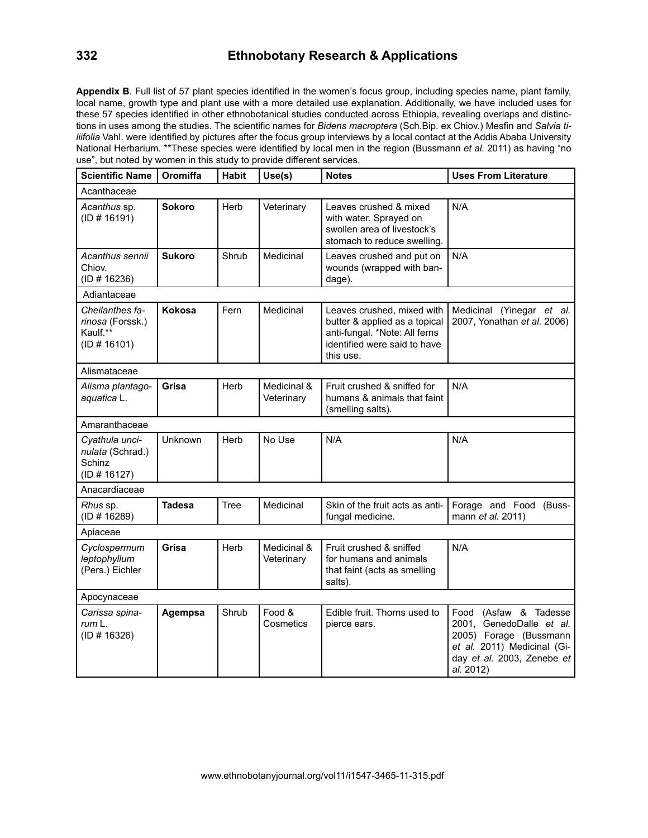# **332 Ethnobotany Research & Applications**

**Appendix B**. Full list of 57 plant species identified in the women's focus group, including species name, plant family, local name, growth type and plant use with a more detailed use explanation. Additionally, we have included uses for these 57 species identified in other ethnobotanical studies conducted across Ethiopia, revealing overlaps and distinctions in uses among the studies. The scientific names for *Bidens macroptera* (Sch.Bip. ex Chiov.) Mesfin and *Salvia tiliifolia* Vahl. were identified by pictures after the focus group interviews by a local contact at the Addis Ababa University National Herbarium. \*\*These species were identified by local men in the region (Bussmann *et al.* 2011) as having "no use", but noted by women in this study to provide different services.

| <b>Scientific Name</b>                                          | Oromiffa      | <b>Habit</b> | Use(s)                    | <b>Notes</b>                                                                                                                              | <b>Uses From Literature</b>                                                                                                                           |
|-----------------------------------------------------------------|---------------|--------------|---------------------------|-------------------------------------------------------------------------------------------------------------------------------------------|-------------------------------------------------------------------------------------------------------------------------------------------------------|
| Acanthaceae                                                     |               |              |                           |                                                                                                                                           |                                                                                                                                                       |
| Acanthus sp.<br>(ID # 16191)                                    | <b>Sokoro</b> | Herb         | Veterinary                | Leaves crushed & mixed<br>with water. Sprayed on<br>swollen area of livestock's<br>stomach to reduce swelling.                            | N/A                                                                                                                                                   |
| Acanthus sennii<br>Chiov.<br>(ID # 16236)                       | <b>Sukoro</b> | Shrub        | Medicinal                 | Leaves crushed and put on<br>wounds (wrapped with ban-<br>dage).                                                                          | N/A                                                                                                                                                   |
| Adiantaceae                                                     |               |              |                           |                                                                                                                                           |                                                                                                                                                       |
| Cheilanthes fa-<br>rinosa (Forssk.)<br>Kaulf.**<br>(ID # 16101) | Kokosa        | Fern         | Medicinal                 | Leaves crushed, mixed with<br>butter & applied as a topical<br>anti-fungal. *Note: All ferns<br>identified were said to have<br>this use. | Medicinal (Yinegar et al.<br>2007, Yonathan et al. 2006)                                                                                              |
| Alismataceae                                                    |               |              |                           |                                                                                                                                           |                                                                                                                                                       |
| Alisma plantago-<br>aquatica L.                                 | Grisa         | Herb         | Medicinal &<br>Veterinary | Fruit crushed & sniffed for<br>humans & animals that faint<br>(smelling salts).                                                           | N/A                                                                                                                                                   |
| Amaranthaceae                                                   |               |              |                           |                                                                                                                                           |                                                                                                                                                       |
| Cyathula unci-<br>nulata (Schrad.)<br>Schinz<br>(ID # 16127)    | Unknown       | Herb         | No Use                    | N/A                                                                                                                                       | N/A                                                                                                                                                   |
| Anacardiaceae                                                   |               |              |                           |                                                                                                                                           |                                                                                                                                                       |
| Rhus sp.<br>(ID # 16289)                                        | Tadesa        | Tree         | Medicinal                 | Skin of the fruit acts as anti-<br>fungal medicine.                                                                                       | Forage and Food (Buss-<br>mann et al. 2011)                                                                                                           |
| Apiaceae                                                        |               |              |                           |                                                                                                                                           |                                                                                                                                                       |
| Cyclospermum<br>leptophyllum<br>(Pers.) Eichler                 | Grisa         | Herb         | Medicinal &<br>Veterinary | Fruit crushed & sniffed<br>for humans and animals<br>that faint (acts as smelling<br>salts).                                              | N/A                                                                                                                                                   |
| Apocynaceae                                                     |               |              |                           |                                                                                                                                           |                                                                                                                                                       |
| Carissa spina-<br>rum L.<br>(ID # 16326)                        | Agempsa       | Shrub        | Food &<br>Cosmetics       | Edible fruit. Thorns used to<br>pierce ears.                                                                                              | Food (Asfaw & Tadesse<br>2001, GenedoDalle et al.<br>2005) Forage (Bussmann<br>et al. 2011) Medicinal (Gi-<br>day et al. 2003, Zenebe et<br>al. 2012) |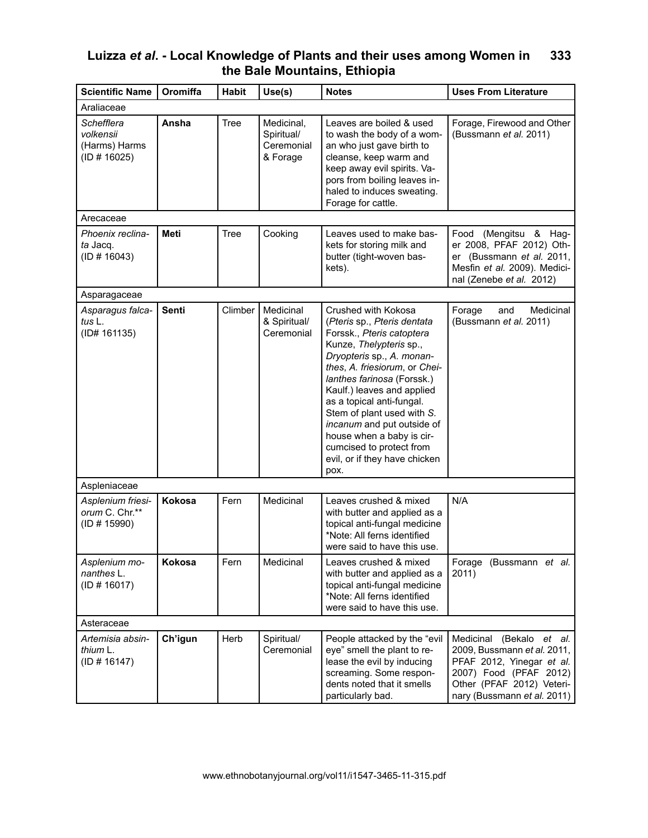| <b>Scientific Name</b>                                   | Oromiffa     | <b>Habit</b> | Use(s)                                             | <b>Notes</b>                                                                                                                                                                                                                                                                                                                                                                                                                    | <b>Uses From Literature</b>                                                                                                                                                |
|----------------------------------------------------------|--------------|--------------|----------------------------------------------------|---------------------------------------------------------------------------------------------------------------------------------------------------------------------------------------------------------------------------------------------------------------------------------------------------------------------------------------------------------------------------------------------------------------------------------|----------------------------------------------------------------------------------------------------------------------------------------------------------------------------|
| Araliaceae                                               |              |              |                                                    |                                                                                                                                                                                                                                                                                                                                                                                                                                 |                                                                                                                                                                            |
| Schefflera<br>volkensii<br>(Harms) Harms<br>(ID # 16025) | Ansha        | Tree         | Medicinal,<br>Spiritual/<br>Ceremonial<br>& Forage | Leaves are boiled & used<br>to wash the body of a wom-<br>an who just gave birth to<br>cleanse, keep warm and<br>keep away evil spirits. Va-<br>pors from boiling leaves in-<br>haled to induces sweating.<br>Forage for cattle.                                                                                                                                                                                                | Forage, Firewood and Other<br>(Bussmann et al. 2011)                                                                                                                       |
| Arecaceae                                                |              |              |                                                    |                                                                                                                                                                                                                                                                                                                                                                                                                                 |                                                                                                                                                                            |
| Phoenix reclina-<br>ta Jacq.<br>(ID # 16043)             | <b>Meti</b>  | Tree         | Cooking                                            | Leaves used to make bas-<br>kets for storing milk and<br>butter (tight-woven bas-<br>kets).                                                                                                                                                                                                                                                                                                                                     | Food (Mengitsu & Hag-<br>er 2008, PFAF 2012) Oth-<br>er (Bussmann et al. 2011,<br>Mesfin et al. 2009). Medici-<br>nal (Zenebe et al. 2012)                                 |
| Asparagaceae                                             |              |              |                                                    |                                                                                                                                                                                                                                                                                                                                                                                                                                 |                                                                                                                                                                            |
| Asparagus falca-<br>tus L.<br>(ID# 161135)               | <b>Senti</b> | Climber      | Medicinal<br>& Spiritual/<br>Ceremonial            | Crushed with Kokosa<br>(Pteris sp., Pteris dentata<br>Forssk., Pteris catoptera<br>Kunze, Thelypteris sp.,<br>Dryopteris sp., A. monan-<br>thes, A. friesiorum, or Chei-<br>lanthes farinosa (Forssk.)<br>Kaulf.) leaves and applied<br>as a topical anti-fungal.<br>Stem of plant used with S.<br>incanum and put outside of<br>house when a baby is cir-<br>cumcised to protect from<br>evil, or if they have chicken<br>pox. | Forage<br>Medicinal<br>and<br>(Bussmann et al. 2011)                                                                                                                       |
| Aspleniaceae                                             |              |              |                                                    |                                                                                                                                                                                                                                                                                                                                                                                                                                 |                                                                                                                                                                            |
| Asplenium friesi-<br>orum C. Chr.**<br>(ID # 15990)      | Kokosa       | Fern         | Medicinal                                          | Leaves crushed & mixed<br>with butter and applied as a<br>topical anti-fungal medicine<br>*Note: All ferns identified<br>were said to have this use.                                                                                                                                                                                                                                                                            | N/A                                                                                                                                                                        |
| Asplenium mo-<br>nanthes L.<br>(ID # 16017)              | Kokosa       | Fern         | Medicinal                                          | Leaves crushed & mixed<br>with butter and applied as a<br>topical anti-fungal medicine<br>*Note: All ferns identified<br>were said to have this use.                                                                                                                                                                                                                                                                            | Forage (Bussmann et al.<br>2011)                                                                                                                                           |
| Asteraceae                                               |              |              |                                                    |                                                                                                                                                                                                                                                                                                                                                                                                                                 |                                                                                                                                                                            |
| Artemisia absin-<br>thium L.<br>(ID # 16147)             | Ch'igun      | Herb         | Spiritual/<br>Ceremonial                           | People attacked by the "evil<br>eye" smell the plant to re-<br>lease the evil by inducing<br>screaming. Some respon-<br>dents noted that it smells<br>particularly bad.                                                                                                                                                                                                                                                         | Medicinal (Bekalo et al.<br>2009, Bussmann et al. 2011,<br>PFAF 2012, Yinegar et al.<br>2007) Food (PFAF 2012)<br>Other (PFAF 2012) Veteri-<br>nary (Bussmann et al. 2011) |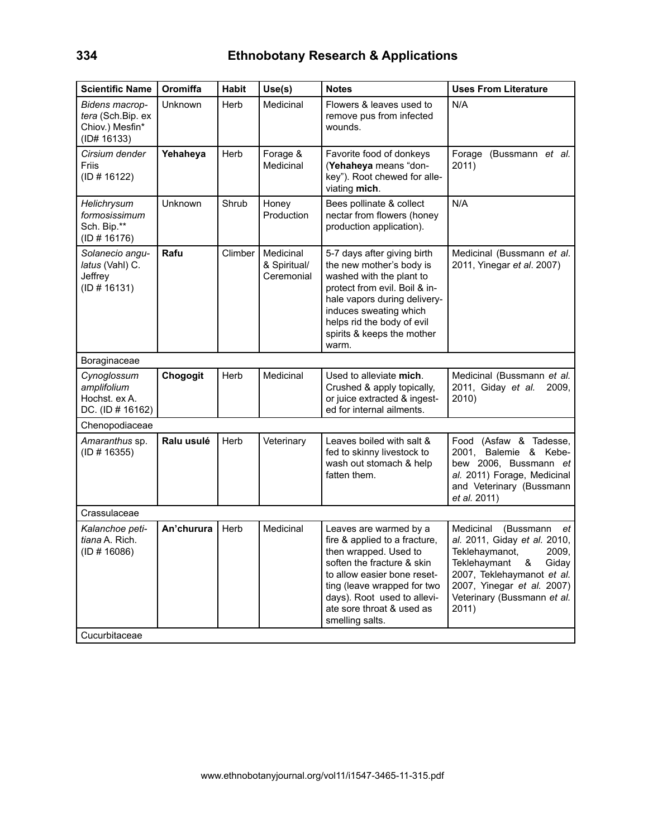| <b>Scientific Name</b>                                                | Oromiffa   | <b>Habit</b> | Use(s)                                  | <b>Notes</b>                                                                                                                                                                                                                                                | <b>Uses From Literature</b>                                                                                                                                                                                               |
|-----------------------------------------------------------------------|------------|--------------|-----------------------------------------|-------------------------------------------------------------------------------------------------------------------------------------------------------------------------------------------------------------------------------------------------------------|---------------------------------------------------------------------------------------------------------------------------------------------------------------------------------------------------------------------------|
| Bidens macrop-<br>tera (Sch.Bip. ex<br>Chiov.) Mesfin*<br>(ID# 16133) | Unknown    | Herb         | Medicinal                               | Flowers & leaves used to<br>remove pus from infected<br>wounds.                                                                                                                                                                                             | N/A                                                                                                                                                                                                                       |
| Cirsium dender<br><b>Friis</b><br>(ID # 16122)                        | Yehaheya   | Herb         | Forage &<br>Medicinal                   | Favorite food of donkeys<br>(Yehaheya means "don-<br>key"). Root chewed for alle-<br>viating mich.                                                                                                                                                          | Forage (Bussmann et al.<br>2011)                                                                                                                                                                                          |
| Helichrysum<br>formosissimum<br>Sch. Bip.**<br>(ID # 16176)           | Unknown    | Shrub        | Honey<br>Production                     | Bees pollinate & collect<br>nectar from flowers (honey<br>production application).                                                                                                                                                                          | N/A                                                                                                                                                                                                                       |
| Solanecio angu-<br>latus (Vahl) C.<br>Jeffrey<br>(ID # 16131)         | Rafu       | Climber      | Medicinal<br>& Spiritual/<br>Ceremonial | 5-7 days after giving birth<br>the new mother's body is<br>washed with the plant to<br>protect from evil. Boil & in-<br>hale vapors during delivery-<br>induces sweating which<br>helps rid the body of evil<br>spirits & keeps the mother<br>warm.         | Medicinal (Bussmann et al.<br>2011, Yinegar et al. 2007)                                                                                                                                                                  |
| Boraginaceae                                                          |            |              |                                         |                                                                                                                                                                                                                                                             |                                                                                                                                                                                                                           |
| Cynoglossum<br>amplifolium<br>Hochst. ex A.<br>DC. (ID # 16162)       | Chogogit   | Herb         | Medicinal                               | Used to alleviate mich.<br>Crushed & apply topically,<br>or juice extracted & ingest-<br>ed for internal ailments.                                                                                                                                          | Medicinal (Bussmann et al.<br>2011, Giday et al.<br>2009,<br>2010)                                                                                                                                                        |
| Chenopodiaceae                                                        |            |              |                                         |                                                                                                                                                                                                                                                             |                                                                                                                                                                                                                           |
| Amaranthus sp.<br>(ID # 16355)                                        | Ralu usulé | Herb         | Veterinary                              | Leaves boiled with salt &<br>fed to skinny livestock to<br>wash out stomach & help<br>fatten them.                                                                                                                                                          | Food (Asfaw & Tadesse,<br>2001, Balemie & Kebe-<br>bew 2006, Bussmann et<br>al. 2011) Forage, Medicinal<br>and Veterinary (Bussmann<br>et al. 2011)                                                                       |
| Crassulaceae                                                          |            |              |                                         |                                                                                                                                                                                                                                                             |                                                                                                                                                                                                                           |
| Kalanchoe peti-<br>tiana A. Rich.<br>(ID # 16086)                     | An'churura | Herb         | Medicinal                               | Leaves are warmed by a<br>fire & applied to a fracture,<br>then wrapped. Used to<br>soften the fracture & skin<br>to allow easier bone reset-<br>ting (leave wrapped for two<br>days). Root used to allevi-<br>ate sore throat & used as<br>smelling salts. | Medicinal<br>(Bussmann<br>et<br>al. 2011, Giday et al. 2010,<br>2009.<br>Teklehaymanot,<br>Teklehaymant<br>Giday<br>&<br>2007, Teklehaymanot et al.<br>2007, Yinegar et al. 2007)<br>Veterinary (Bussmann et al.<br>2011) |
| Cucurbitaceae                                                         |            |              |                                         |                                                                                                                                                                                                                                                             |                                                                                                                                                                                                                           |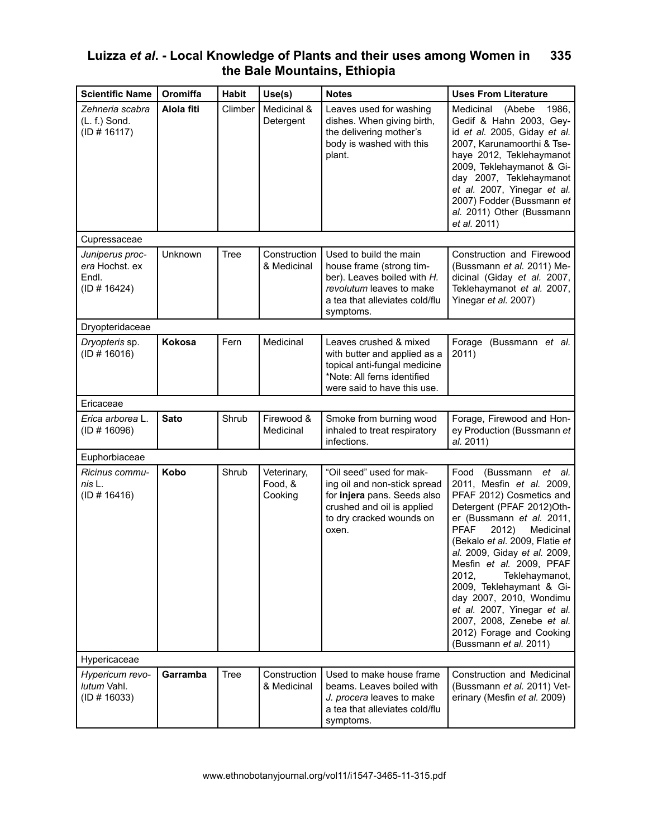| <b>Scientific Name</b>                                     | Oromiffa    | <b>Habit</b> | Use(s)                            | <b>Notes</b>                                                                                                                                                 | <b>Uses From Literature</b>                                                                                                                                                                                                                                                                                                                                                                                                                                                        |
|------------------------------------------------------------|-------------|--------------|-----------------------------------|--------------------------------------------------------------------------------------------------------------------------------------------------------------|------------------------------------------------------------------------------------------------------------------------------------------------------------------------------------------------------------------------------------------------------------------------------------------------------------------------------------------------------------------------------------------------------------------------------------------------------------------------------------|
| Zehneria scabra<br>$(L. f.)$ Sond.<br>(ID # 16117)         | Alola fiti  | Climber      | Medicinal &<br>Detergent          | Leaves used for washing<br>dishes. When giving birth,<br>the delivering mother's<br>body is washed with this<br>plant.                                       | (Abebe<br>1986,<br>Medicinal<br>Gedif & Hahn 2003, Gey-<br>id et al. 2005, Giday et al.<br>2007, Karunamoorthi & Tse-<br>haye 2012, Teklehaymanot<br>2009, Teklehaymanot & Gi-<br>day 2007, Teklehaymanot<br>et al. 2007, Yinegar et al.<br>2007) Fodder (Bussmann et<br>al. 2011) Other (Bussmann<br>et al. 2011)                                                                                                                                                                 |
| Cupressaceae                                               |             |              |                                   |                                                                                                                                                              |                                                                                                                                                                                                                                                                                                                                                                                                                                                                                    |
| Juniperus proc-<br>era Hochst. ex<br>Endl.<br>(ID # 16424) | Unknown     | Tree         | Construction<br>& Medicinal       | Used to build the main<br>house frame (strong tim-<br>ber). Leaves boiled with H.<br>revolutum leaves to make<br>a tea that alleviates cold/flu<br>symptoms. | Construction and Firewood<br>(Bussmann et al. 2011) Me-<br>dicinal (Giday et al. 2007,<br>Teklehaymanot et al. 2007,<br>Yinegar et al. 2007)                                                                                                                                                                                                                                                                                                                                       |
| Dryopteridaceae                                            |             |              |                                   |                                                                                                                                                              |                                                                                                                                                                                                                                                                                                                                                                                                                                                                                    |
| Dryopteris sp.<br>(ID # 16016)                             | Kokosa      | Fern         | Medicinal                         | Leaves crushed & mixed<br>with butter and applied as a<br>topical anti-fungal medicine<br>*Note: All ferns identified<br>were said to have this use.         | Forage<br>(Bussmann et al.<br>2011)                                                                                                                                                                                                                                                                                                                                                                                                                                                |
| Ericaceae                                                  |             |              |                                   |                                                                                                                                                              |                                                                                                                                                                                                                                                                                                                                                                                                                                                                                    |
| Erica arborea L.<br>(ID # 16096)                           | <b>Sato</b> | Shrub        | Firewood &<br>Medicinal           | Smoke from burning wood<br>inhaled to treat respiratory<br>infections.                                                                                       | Forage, Firewood and Hon-<br>ey Production (Bussmann et<br>al. 2011)                                                                                                                                                                                                                                                                                                                                                                                                               |
| Euphorbiaceae                                              |             |              |                                   |                                                                                                                                                              |                                                                                                                                                                                                                                                                                                                                                                                                                                                                                    |
| Ricinus commu-<br>nis L.<br>(ID # 16416)                   | Kobo        | Shrub        | Veterinary,<br>Food, &<br>Cooking | "Oil seed" used for mak-<br>ing oil and non-stick spread<br>for injera pans. Seeds also<br>crushed and oil is applied<br>to dry cracked wounds on<br>oxen.   | Food<br>(Bussmann et al.<br>2011, Mesfin et al. 2009,<br>PFAF 2012) Cosmetics and<br>Detergent (PFAF 2012)Oth-<br>er (Bussmann et al. 2011,<br><b>PFAF</b><br>Medicinal<br>2012)<br>(Bekalo et al. 2009, Flatie et<br>al. 2009, Giday et al. 2009,<br>Mesfin et al. 2009, PFAF<br>2012.<br>Teklehaymanot,<br>2009, Teklehaymant & Gi-<br>day 2007, 2010, Wondimu<br>et al. 2007, Yinegar et al.<br>2007, 2008, Zenebe et al.<br>2012) Forage and Cooking<br>(Bussmann et al. 2011) |
| Hypericaceae                                               |             |              |                                   |                                                                                                                                                              |                                                                                                                                                                                                                                                                                                                                                                                                                                                                                    |
| Hypericum revo-<br>lutum Vahl.<br>(ID # 16033)             | Garramba    | Tree         | Construction<br>& Medicinal       | Used to make house frame<br>beams. Leaves boiled with<br>J. procera leaves to make<br>a tea that alleviates cold/flu<br>symptoms.                            | Construction and Medicinal<br>(Bussmann et al. 2011) Vet-<br>erinary (Mesfin et al. 2009)                                                                                                                                                                                                                                                                                                                                                                                          |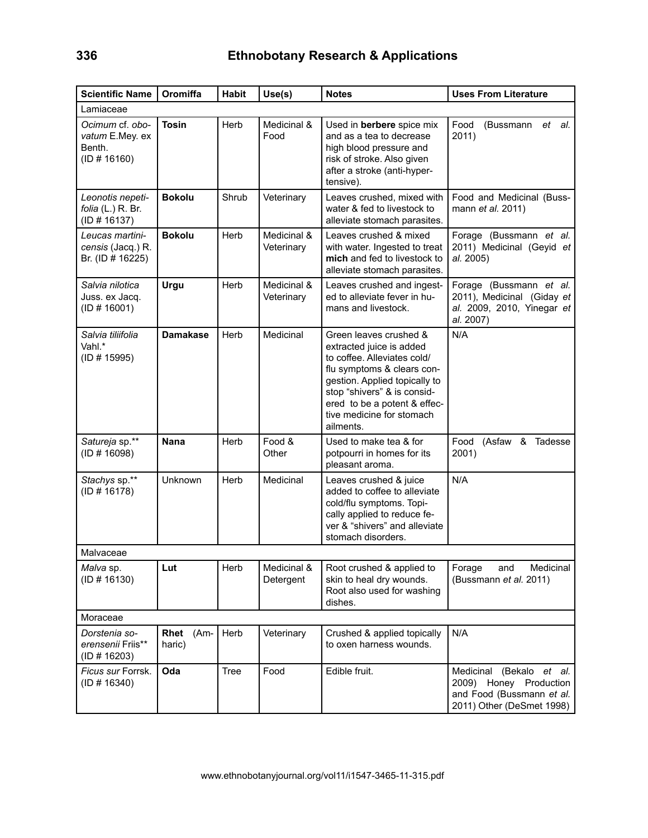| <b>Scientific Name</b>                                       | Oromiffa            | <b>Habit</b> | Use(s)                    | <b>Notes</b>                                                                                                                                                                                                                                              | <b>Uses From Literature</b>                                                                                  |
|--------------------------------------------------------------|---------------------|--------------|---------------------------|-----------------------------------------------------------------------------------------------------------------------------------------------------------------------------------------------------------------------------------------------------------|--------------------------------------------------------------------------------------------------------------|
| Lamiaceae                                                    |                     |              |                           |                                                                                                                                                                                                                                                           |                                                                                                              |
| Ocimum cf. obo-<br>vatum E.Mey. ex<br>Benth.<br>(ID # 16160) | <b>Tosin</b>        | Herb         | Medicinal &<br>Food       | Used in berbere spice mix<br>and as a tea to decrease<br>high blood pressure and<br>risk of stroke. Also given<br>after a stroke (anti-hyper-<br>tensive).                                                                                                | Food<br>(Bussmann<br>et al.<br>2011)                                                                         |
| Leonotis nepeti-<br>folia (L.) R. Br.<br>(ID # 16137)        | <b>Bokolu</b>       | Shrub        | Veterinary                | Leaves crushed, mixed with<br>water & fed to livestock to<br>alleviate stomach parasites.                                                                                                                                                                 | Food and Medicinal (Buss-<br>mann et al. 2011)                                                               |
| Leucas martini-<br>censis (Jacq.) R.<br>Br. (ID # 16225)     | <b>Bokolu</b>       | Herb         | Medicinal &<br>Veterinary | Leaves crushed & mixed<br>with water. Ingested to treat<br>mich and fed to livestock to<br>alleviate stomach parasites.                                                                                                                                   | Forage (Bussmann et al.<br>2011) Medicinal (Geyid et<br>al. 2005)                                            |
| Salvia nilotica<br>Juss. ex Jacq.<br>(ID # 16001)            | Urgu                | Herb         | Medicinal &<br>Veterinary | Leaves crushed and ingest-<br>ed to alleviate fever in hu-<br>mans and livestock.                                                                                                                                                                         | Forage (Bussmann et al.<br>2011), Medicinal (Giday et<br>al. 2009, 2010, Yinegar et<br>al. 2007)             |
| Salvia tiliifolia<br>Vahl.*<br>(ID # 15995)                  | <b>Damakase</b>     | Herb         | Medicinal                 | Green leaves crushed &<br>extracted juice is added<br>to coffee. Alleviates cold/<br>flu symptoms & clears con-<br>gestion. Applied topically to<br>stop "shivers" & is consid-<br>ered to be a potent & effec-<br>tive medicine for stomach<br>ailments. | N/A                                                                                                          |
| Satureja sp.**<br>(ID # 16098)                               | <b>Nana</b>         | Herb         | Food &<br>Other           | Used to make tea & for<br>potpourri in homes for its<br>pleasant aroma.                                                                                                                                                                                   | (Asfaw & Tadesse<br>Food<br>2001)                                                                            |
| Stachys sp.**<br>(ID # 16178)                                | Unknown             | Herb         | Medicinal                 | Leaves crushed & juice<br>added to coffee to alleviate<br>cold/flu symptoms. Topi-<br>cally applied to reduce fe-<br>ver & "shivers" and alleviate<br>stomach disorders.                                                                                  | N/A                                                                                                          |
| Malvaceae                                                    |                     |              |                           |                                                                                                                                                                                                                                                           |                                                                                                              |
| Malva sp.<br>(ID # 16130)                                    | Lut                 | Herb         | Medicinal &<br>Detergent  | Root crushed & applied to<br>skin to heal dry wounds.<br>Root also used for washing<br>dishes.                                                                                                                                                            | Forage<br>Medicinal<br>and<br>(Bussmann et al. 2011)                                                         |
| Moraceae                                                     |                     |              |                           |                                                                                                                                                                                                                                                           |                                                                                                              |
| Dorstenia so-<br>erensenii Friis**<br>(ID # 16203)           | Rhet (Am-<br>haric) | Herb         | Veterinary                | Crushed & applied topically<br>to oxen harness wounds.                                                                                                                                                                                                    | N/A                                                                                                          |
| Ficus sur Forrsk.<br>(ID # 16340)                            | Oda                 | Tree         | Food                      | Edible fruit.                                                                                                                                                                                                                                             | Medicinal (Bekalo et al.<br>2009) Honey Production<br>and Food (Bussmann et al.<br>2011) Other (DeSmet 1998) |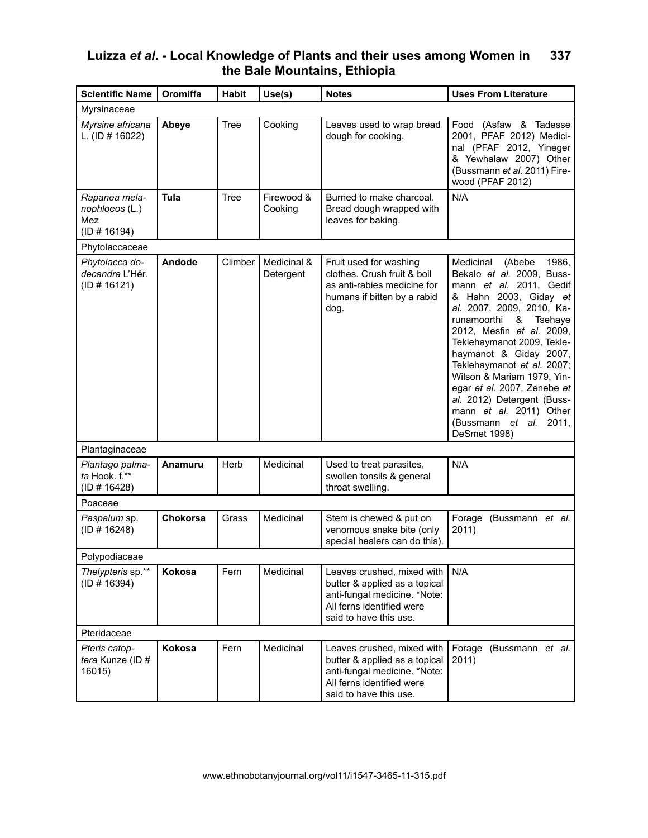| <b>Scientific Name</b>                                 | Oromiffa | <b>Habit</b> | Use(s)                   | <b>Notes</b>                                                                                                                                       | <b>Uses From Literature</b>                                                                                                                                                                                                                                                                                                                                                                                                                                  |
|--------------------------------------------------------|----------|--------------|--------------------------|----------------------------------------------------------------------------------------------------------------------------------------------------|--------------------------------------------------------------------------------------------------------------------------------------------------------------------------------------------------------------------------------------------------------------------------------------------------------------------------------------------------------------------------------------------------------------------------------------------------------------|
| Myrsinaceae                                            |          |              |                          |                                                                                                                                                    |                                                                                                                                                                                                                                                                                                                                                                                                                                                              |
| Myrsine africana<br>L. (ID # 16022)                    | Abeye    | <b>Tree</b>  | Cooking                  | Leaves used to wrap bread<br>dough for cooking.                                                                                                    | Food (Asfaw & Tadesse<br>2001, PFAF 2012) Medici-<br>nal (PFAF 2012, Yineger<br>& Yewhalaw 2007) Other<br>(Bussmann et al. 2011) Fire-<br>wood (PFAF 2012)                                                                                                                                                                                                                                                                                                   |
| Rapanea mela-<br>nophloeos (L.)<br>Mez<br>(ID # 16194) | Tula     | <b>Tree</b>  | Firewood &<br>Cooking    | Burned to make charcoal.<br>Bread dough wrapped with<br>leaves for baking.                                                                         | N/A                                                                                                                                                                                                                                                                                                                                                                                                                                                          |
| Phytolaccaceae                                         |          |              |                          |                                                                                                                                                    |                                                                                                                                                                                                                                                                                                                                                                                                                                                              |
| Phytolacca do-<br>decandra L'Hér.<br>(ID # 16121)      | Andode   | Climber      | Medicinal &<br>Detergent | Fruit used for washing<br>clothes. Crush fruit & boil<br>as anti-rabies medicine for<br>humans if bitten by a rabid<br>dog.                        | Medicinal<br>(Abebe<br>1986.<br>Bekalo et al. 2009, Buss-<br>mann et al. 2011, Gedif<br>& Hahn 2003, Giday et<br>al. 2007, 2009, 2010, Ka-<br>runamoorthi<br>&<br>Tsehaye<br>2012, Mesfin et al. 2009,<br>Teklehaymanot 2009, Tekle-<br>haymanot & Giday 2007,<br>Teklehaymanot et al. 2007;<br>Wilson & Mariam 1979, Yin-<br>egar et al. 2007, Zenebe et<br>al. 2012) Detergent (Buss-<br>mann et al. 2011) Other<br>(Bussmann et al. 2011,<br>DeSmet 1998) |
| Plantaginaceae                                         |          |              |                          |                                                                                                                                                    |                                                                                                                                                                                                                                                                                                                                                                                                                                                              |
| Plantago palma-<br>ta Hook. f.**<br>(ID # 16428)       | Anamuru  | Herb         | Medicinal                | Used to treat parasites,<br>swollen tonsils & general<br>throat swelling.                                                                          | N/A                                                                                                                                                                                                                                                                                                                                                                                                                                                          |
| Poaceae                                                |          |              |                          |                                                                                                                                                    |                                                                                                                                                                                                                                                                                                                                                                                                                                                              |
| Paspalum sp.<br>(ID # 16248)                           | Chokorsa | Grass        | Medicinal                | Stem is chewed & put on<br>venomous snake bite (only<br>special healers can do this).                                                              | Forage<br>(Bussmann et al.<br>2011)                                                                                                                                                                                                                                                                                                                                                                                                                          |
| Polypodiaceae                                          |          |              |                          |                                                                                                                                                    |                                                                                                                                                                                                                                                                                                                                                                                                                                                              |
| Thelypteris sp.**<br>(ID # 16394)                      | Kokosa   | Fern         | Medicinal                | Leaves crushed, mixed with<br>butter & applied as a topical<br>anti-fungal medicine. *Note:<br>All ferns identified were<br>said to have this use. | N/A                                                                                                                                                                                                                                                                                                                                                                                                                                                          |
| Pteridaceae                                            |          |              |                          |                                                                                                                                                    |                                                                                                                                                                                                                                                                                                                                                                                                                                                              |
| Pteris catop-<br>tera Kunze (ID #<br>16015)            | Kokosa   | Fern         | Medicinal                | Leaves crushed, mixed with<br>butter & applied as a topical<br>anti-fungal medicine. *Note:<br>All ferns identified were<br>said to have this use. | Forage (Bussmann et al.<br>2011)                                                                                                                                                                                                                                                                                                                                                                                                                             |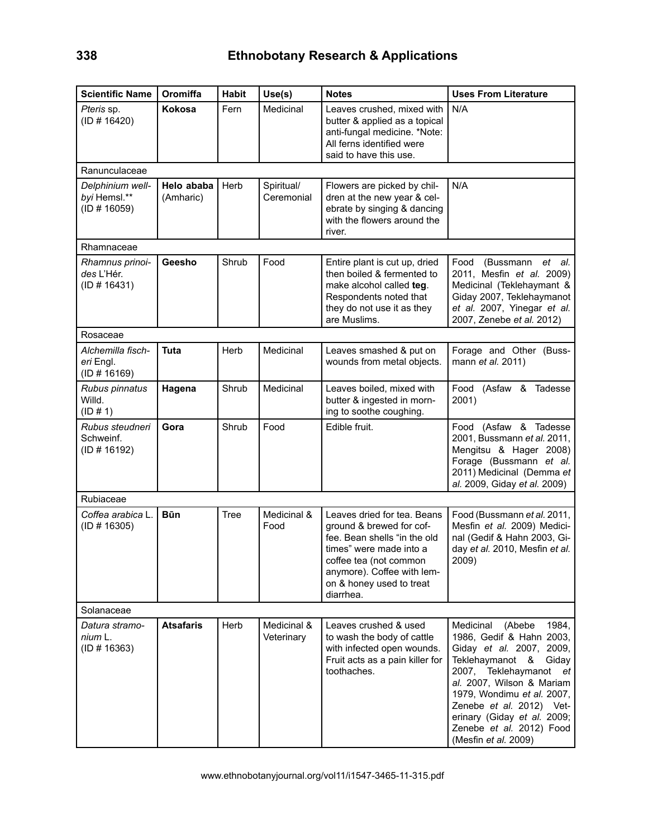| <b>Scientific Name</b>                           | Oromiffa                | <b>Habit</b> | Use(s)                    | <b>Notes</b>                                                                                                                                                                                                        | <b>Uses From Literature</b>                                                                                                                                                                                                                                                                                       |
|--------------------------------------------------|-------------------------|--------------|---------------------------|---------------------------------------------------------------------------------------------------------------------------------------------------------------------------------------------------------------------|-------------------------------------------------------------------------------------------------------------------------------------------------------------------------------------------------------------------------------------------------------------------------------------------------------------------|
| Pteris sp.<br>(ID # 16420)                       | Kokosa                  | Fern         | Medicinal                 | Leaves crushed, mixed with<br>butter & applied as a topical<br>anti-fungal medicine. *Note:<br>All ferns identified were<br>said to have this use.                                                                  | N/A                                                                                                                                                                                                                                                                                                               |
| Ranunculaceae                                    |                         |              |                           |                                                                                                                                                                                                                     |                                                                                                                                                                                                                                                                                                                   |
| Delphinium well-<br>byi Hemsl.**<br>(ID # 16059) | Helo ababa<br>(Amharic) | Herb         | Spiritual/<br>Ceremonial  | Flowers are picked by chil-<br>dren at the new year & cel-<br>ebrate by singing & dancing<br>with the flowers around the<br>river.                                                                                  | N/A                                                                                                                                                                                                                                                                                                               |
| Rhamnaceae                                       |                         |              |                           |                                                                                                                                                                                                                     |                                                                                                                                                                                                                                                                                                                   |
| Rhamnus prinoi-<br>des L'Hér.<br>(ID # 16431)    | Geesho                  | Shrub        | Food                      | Entire plant is cut up, dried<br>then boiled & fermented to<br>make alcohol called teg.<br>Respondents noted that<br>they do not use it as they<br>are Muslims.                                                     | (Bussmann et al.<br>Food<br>2011, Mesfin et al. 2009)<br>Medicinal (Teklehaymant &<br>Giday 2007, Teklehaymanot<br>et al. 2007, Yinegar et al.<br>2007, Zenebe et al. 2012)                                                                                                                                       |
| Rosaceae                                         |                         |              |                           |                                                                                                                                                                                                                     |                                                                                                                                                                                                                                                                                                                   |
| Alchemilla fisch-<br>eri Engl.<br>(ID # 16169)   | <b>Tuta</b>             | Herb         | Medicinal                 | Leaves smashed & put on<br>wounds from metal objects.                                                                                                                                                               | Forage and Other (Buss-<br>mann et al. 2011)                                                                                                                                                                                                                                                                      |
| Rubus pinnatus<br>Willd.<br>(ID # 1)             | Hagena                  | Shrub        | Medicinal                 | Leaves boiled, mixed with<br>butter & ingested in morn-<br>ing to soothe coughing.                                                                                                                                  | Food (Asfaw & Tadesse<br>2001)                                                                                                                                                                                                                                                                                    |
| Rubus steudneri<br>Schweinf.<br>(ID # 16192)     | Gora                    | Shrub        | Food                      | Edible fruit.                                                                                                                                                                                                       | Food (Asfaw & Tadesse<br>2001, Bussmann et al. 2011,<br>Mengitsu & Hager 2008)<br>Forage (Bussmann et al.<br>2011) Medicinal (Demma et<br>al. 2009, Giday et al. 2009)                                                                                                                                            |
| Rubiaceae                                        |                         |              |                           |                                                                                                                                                                                                                     |                                                                                                                                                                                                                                                                                                                   |
| Coffea arabica L.<br>(ID # 16305)                | <b>Būn</b>              | Tree         | Medicinal &<br>Food       | Leaves dried for tea. Beans<br>ground & brewed for cof-<br>fee. Bean shells "in the old<br>times" were made into a<br>coffee tea (not common<br>anymore). Coffee with lem-<br>on & honey used to treat<br>diarrhea. | Food (Bussmann et al. 2011,<br>Mesfin et al. 2009) Medici-<br>nal (Gedif & Hahn 2003, Gi-<br>day et al. 2010, Mesfin et al.<br>2009)                                                                                                                                                                              |
| Solanaceae                                       |                         |              |                           |                                                                                                                                                                                                                     |                                                                                                                                                                                                                                                                                                                   |
| Datura stramo-<br>nium L.<br>(ID # 16363)        | <b>Atsafaris</b>        | Herb         | Medicinal &<br>Veterinary | Leaves crushed & used<br>to wash the body of cattle<br>with infected open wounds.<br>Fruit acts as a pain killer for<br>toothaches.                                                                                 | Medicinal<br>(Abebe<br>1984,<br>1986, Gedif & Hahn 2003,<br>Giday et al. 2007, 2009,<br>Teklehaymanot & Giday<br>2007, Teklehaymanot et<br>al. 2007, Wilson & Mariam<br>1979, Wondimu et al. 2007,<br>Zenebe et al. 2012) Vet-<br>erinary (Giday et al. 2009;<br>Zenebe et al. 2012) Food<br>(Mesfin et al. 2009) |